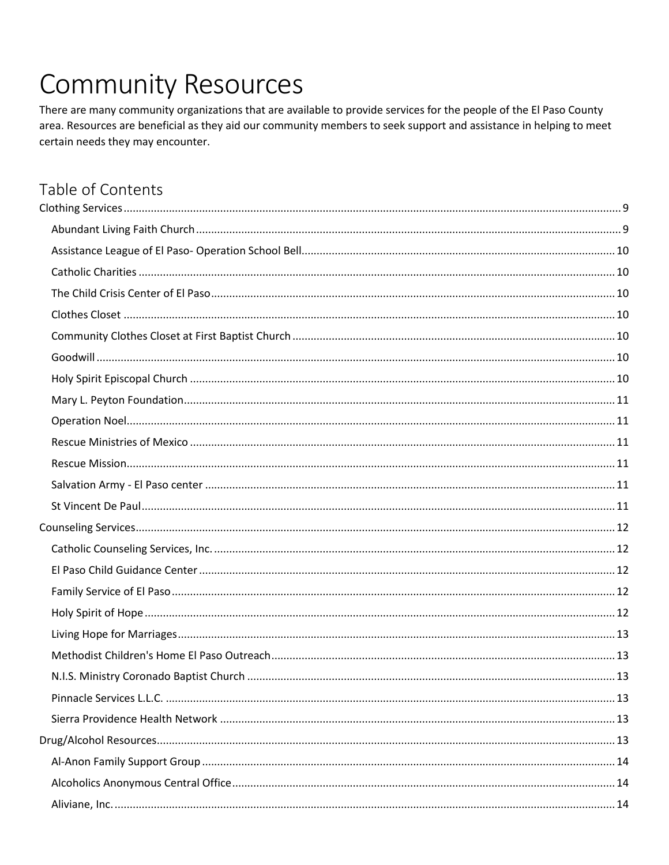# **Community Resources**

There are many community organizations that are available to provide services for the people of the El Paso County area. Resources are beneficial as they aid our community members to seek support and assistance in helping to meet certain needs they may encounter.

## Table of Contents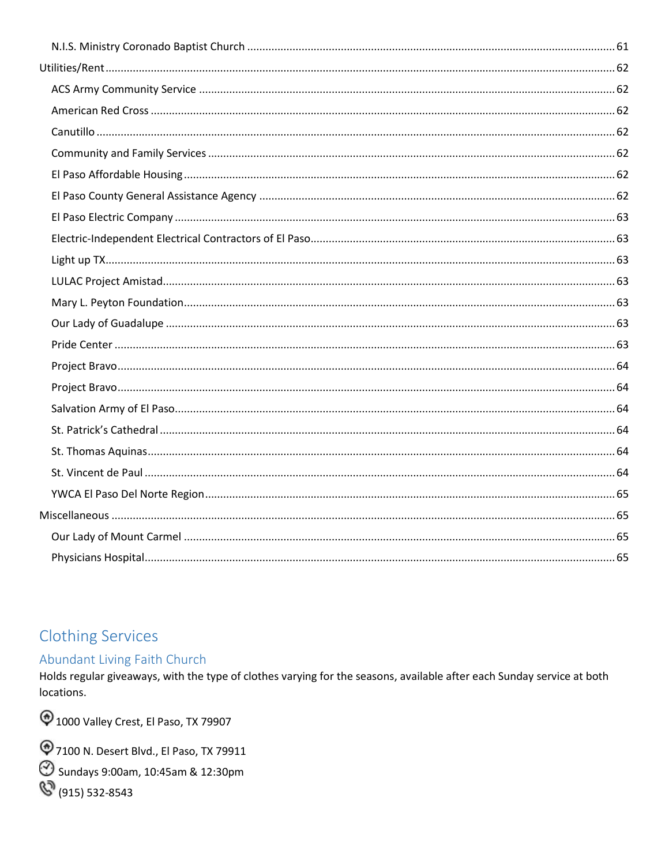## <span id="page-8-0"></span>**Clothing Services**

#### <span id="page-8-1"></span>Abundant Living Faith Church

Holds regular giveaways, with the type of clothes varying for the seasons, available after each Sunday service at both locations.

<sup>1</sup>000 Valley Crest, El Paso, TX 79907

7100 N. Desert Blvd., El Paso, TX 79911

Sundays 9:00am, 10:45am & 12:30pm

(915) 532-8543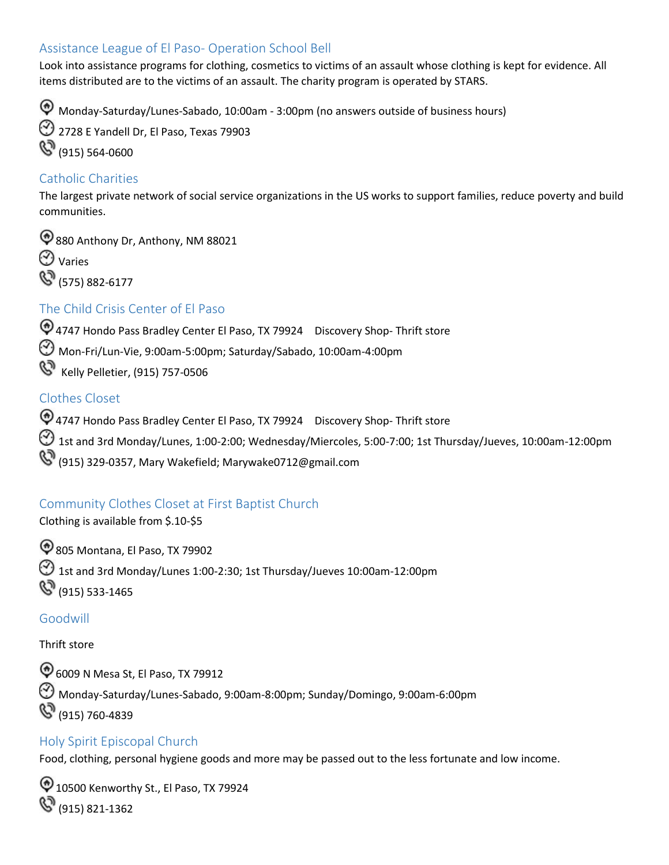#### <span id="page-9-0"></span>Assistance League of El Paso- Operation School Bell

Look into assistance programs for clothing, cosmetics to victims of an assault whose clothing is kept for evidence. All items distributed are to the victims of an assault. The charity program is operated by STARS.

Monday-Saturday/Lunes-Sabado, 10:00am - 3:00pm (no answers outside of business hours)

2728 E Yandell Dr, El Paso, Texas 79903 (915) 564-0600

#### <span id="page-9-1"></span>Catholic Charities

The largest private network of social service organizations in the US works to support families, reduce poverty and build communities.

 $\bigcirc$  880 Anthony Dr, Anthony, NM 88021



**(S)** (575) 882-6177

#### <span id="page-9-2"></span>The Child Crisis Center of El Paso

4747 Hondo Pass Bradley Center El Paso, TX 79924 Discovery Shop- Thrift store Mon-Fri/Lun-Vie, 9:00am-5:00pm; Saturday/Sabado, 10:00am-4:00pm Kelly Pelletier, (915) 757-0506

#### <span id="page-9-3"></span>Clothes Closet

 (915) 329-0357, Mary Wakefield; [Marywake0712@gmail.com](mailto:Marywake0712@gmail.com) 4747 Hondo Pass Bradley Center El Paso, TX 79924 Discovery Shop- Thrift store  $\bigodot$  1st and 3rd Monday/Lunes, 1:00-2:00; Wednesday/Miercoles, 5:00-7:00; 1st Thursday/Jueves, 10:00am-12:00pm

#### <span id="page-9-4"></span>Community Clothes Closet at First Baptist Church

Clothing is available from \$.10-\$5

805 Montana, El Paso, TX 79902  $\bigcirc$  1st and 3rd Monday/Lunes 1:00-2:30; 1st Thursday/Jueves 10:00am-12:00pm (915) 533-1465

#### <span id="page-9-5"></span>Goodwill

Thrift store

6009 N Mesa St, El Paso, TX 79912 Monday-Saturday/Lunes-Sabado, 9:00am-8:00pm; Sunday/Domingo, 9:00am-6:00pm (915) 760-4839

#### <span id="page-9-6"></span>Holy Spirit Episcopal Church

Food, clothing, personal hygiene goods and more may be passed out to the less fortunate and low income.

<sup>1</sup> 10500 Kenworthy St., El Paso, TX 79924 (915) 821-1362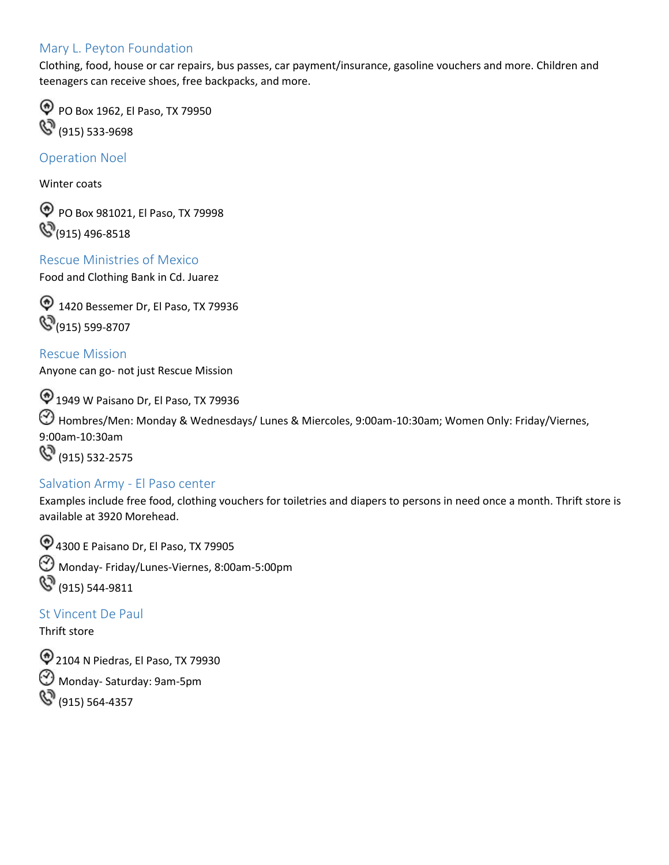#### <span id="page-10-0"></span>Mary L. Peyton Foundation

Clothing, food, house or car repairs, bus passes, car payment/insurance, gasoline vouchers and more. Children and teenagers can receive shoes, free backpacks, and more.

**PO Box 1962, El Paso, TX 79950** (915) 533-9698

<span id="page-10-1"></span>Operation Noel

Winter coats

PO Box 981021, El Paso, TX 79998  $\mathbb{Q}_{(915)}$  496-8518

<span id="page-10-2"></span>Rescue Ministries of Mexico Food and Clothing Bank in Cd. Juarez

<sup>1</sup> 1420 Bessemer Dr, El Paso, TX 79936  $\mathcal{S}_{(915) 599-8707}$ 

<span id="page-10-3"></span>Rescue Mission Anyone can go- not just Rescue Mission

1949 W Paisano Dr, El Paso, TX 79936 Hombres/Men: Monday & Wednesdays/ Lunes & Miercoles, 9:00am-10:30am; Women Only: Friday/Viernes, 9:00am-10:30am **(3)** (915) 532-2575

#### <span id="page-10-4"></span>Salvation Army - El Paso center

Examples include free food, clothing vouchers for toiletries and diapers to persons in need once a month. Thrift store is available at 3920 Morehead.

4300 E Paisano Dr, El Paso, TX 79905 Monday- Friday/Lunes-Viernes, 8:00am-5:00pm **(S)** (915) 544-9811

<span id="page-10-5"></span>St Vincent De Paul

Thrift store

2104 N Piedras, El Paso, TX 79930 Monday- Saturday: 9am-5pm (915) 564-4357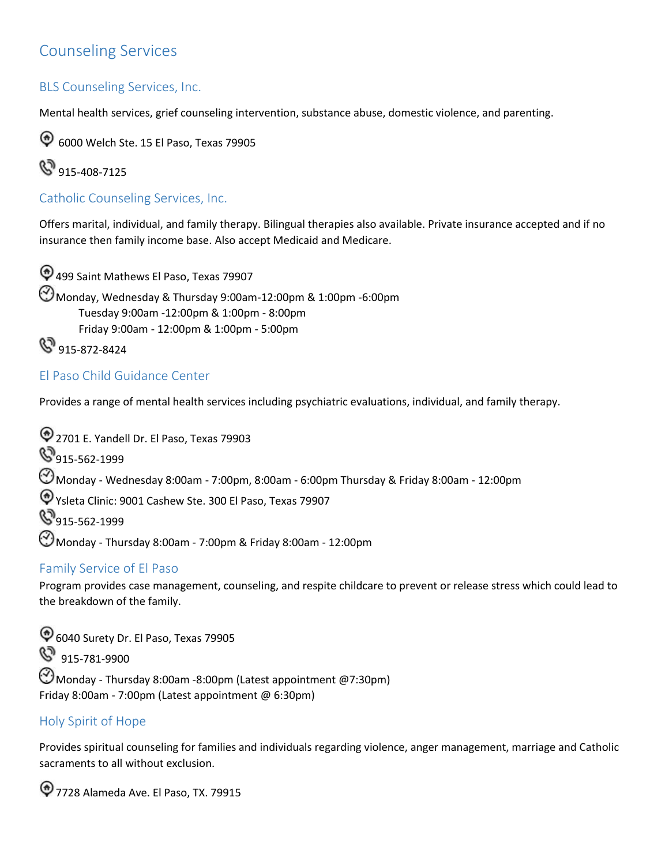## <span id="page-11-0"></span>Counseling Services

#### BLS Counseling Services, Inc.

Mental health services, grief counseling intervention, substance abuse, domestic violence, and parenting.

6000 Welch Ste. 15 El Paso, Texas 79905



<span id="page-11-1"></span>Catholic Counseling Services, Inc.

Offers marital, individual, and family therapy. Bilingual therapies also available. Private insurance accepted and if no insurance then family income base. Also accept Medicaid and Medicare.

 Friday 9:00am - 12:00pm & 1:00pm - 5:00pm 499 Saint Mathews El Paso, Texas 79907 Monday, Wednesday & Thursday 9:00am-12:00pm & 1:00pm -6:00pm Tuesday 9:00am -12:00pm & 1:00pm - 8:00pm **&** 915-872-8424

#### <span id="page-11-2"></span>El Paso Child Guidance Center

Provides a range of mental health services including psychiatric evaluations, individual, and family therapy.

2701 E. Yandell Dr. El Paso, Texas 79903

**915-562-1999** 

 $\bigodot$ Monday - Wednesday 8:00am - 7:00pm, 8:00am - 6:00pm Thursday & Friday 8:00am - 12:00pm

Ysleta Clinic: 9001 Cashew Ste. 300 El Paso, Texas 79907

**9**915-562-1999

Monday - Thursday 8:00am - 7:00pm & Friday 8:00am - 12:00pm

#### <span id="page-11-3"></span>Family Service of El Paso

Program provides case management, counseling, and respite childcare to prevent or release stress which could lead to the breakdown of the family.

6040 Surety Dr. El Paso, Texas 79905 8 915-781-9900  $\Theta$ Monday - Thursday 8:00am -8:00pm (Latest appointment @7:30pm) Friday 8:00am - 7:00pm (Latest appointment @ 6:30pm)

#### <span id="page-11-4"></span>Holy Spirit of Hope

Provides spiritual counseling for families and individuals regarding violence, anger management, marriage and Catholic sacraments to all without exclusion.

7728 Alameda Ave. El Paso, TX. 79915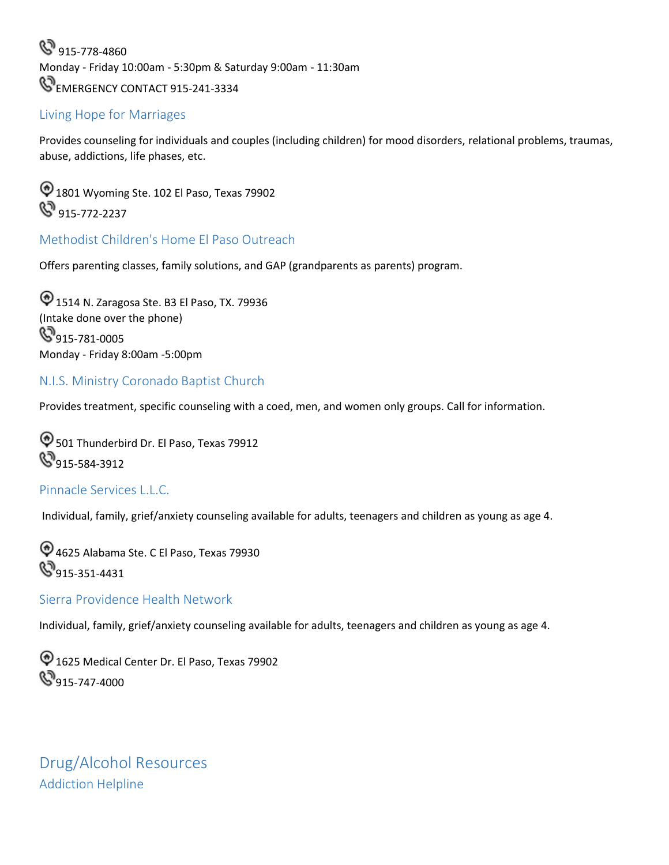**&** 915-778-4860 Monday - Friday 10:00am - 5:30pm & Saturday 9:00am - 11:30am **EMERGENCY CONTACT 915-241-3334** 

#### <span id="page-12-0"></span>Living Hope for Marriages

Provides counseling for individuals and couples (including children) for mood disorders, relational problems, traumas, abuse, addictions, life phases, etc.

 $\bigcirc$  1801 Wyoming Ste. 102 El Paso, Texas 79902  $\mathbb{S}^9$  915-772-2237

#### <span id="page-12-1"></span>Methodist Children's Home El Paso Outreach

Offers parenting classes, family solutions, and GAP (grandparents as parents) program.

1514 N. Zaragosa Ste. B3 El Paso, TX. 79936 (Intake done over the phone) **S**915-781-0005 Monday - Friday 8:00am -5:00pm

#### <span id="page-12-2"></span>N.I.S. Ministry Coronado Baptist Church

Provides treatment, specific counseling with a coed, men, and women only groups. Call for information.

 $\textcircled{1}$  501 Thunderbird Dr. El Paso, Texas 79912 **8**915-584-3912

#### <span id="page-12-3"></span>Pinnacle Services L.L.C.

Individual, family, grief/anxiety counseling available for adults, teenagers and children as young as age 4.

4625 Alabama Ste. C El Paso, Texas 79930 **9**915-351-4431

#### <span id="page-12-4"></span>Sierra Providence Health Network

Individual, family, grief/anxiety counseling available for adults, teenagers and children as young as age 4.

 $\textcircled{1625}$  Medical Center Dr. El Paso, Texas 79902 **9**915-747-4000

<span id="page-12-5"></span>Drug/Alcohol Resources Addiction Helpline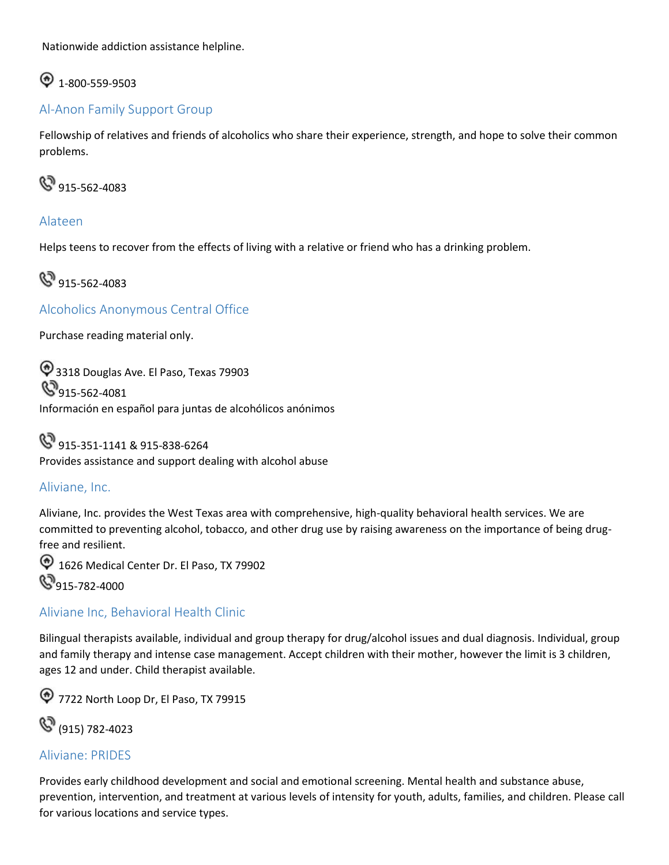Nationwide addiction assistance helpline.

## $\bigcirc$  1-800-559-9503

#### <span id="page-13-0"></span>Al-Anon Family Support Group

Fellowship of relatives and friends of alcoholics who share their experience, strength, and hope to solve their common problems.



#### Alateen

Helps teens to recover from the effects of living with a relative or friend who has a drinking problem.

**&**915-562-4083

<span id="page-13-1"></span>Alcoholics Anonymous Central Office

Purchase reading material only.

 $\bigcirc$  3318 Douglas Ave. El Paso, Texas 79903  $\mathbb{S}_{915\text{-}562\text{-}4081}$ Información en español para juntas de alcohólicos anónimos

 Provides assistance and support dealing with alcohol abuse **(S)** 915-351-1141 & 915-838-6264

#### <span id="page-13-2"></span>Aliviane, Inc.

Aliviane, Inc. provides the West Texas area with comprehensive, high-quality behavioral health services. We are committed to preventing alcohol, tobacco, and other drug use by raising awareness on the importance of being drugfree and resilient.

<sup>1</sup> 1626 Medical Center Dr. El Paso, TX 79902 **S**915-782-4000

#### <span id="page-13-3"></span>Aliviane Inc, Behavioral Health Clinic

Bilingual therapists available, individual and group therapy for drug/alcohol issues and dual diagnosis. Individual, group and family therapy and intense case management. Accept children with their mother, however the limit is 3 children, ages 12 and under. Child therapist available.

**17722 North Loop Dr, El Paso, TX 79915** 

(915) 782-4023

#### <span id="page-13-4"></span>Aliviane: PRIDES

 Provides early childhood development and social and emotional screening. Mental health and substance abuse, prevention, intervention, and treatment at various levels of intensity for youth, adults, families, and children. Please call for various locations and service types.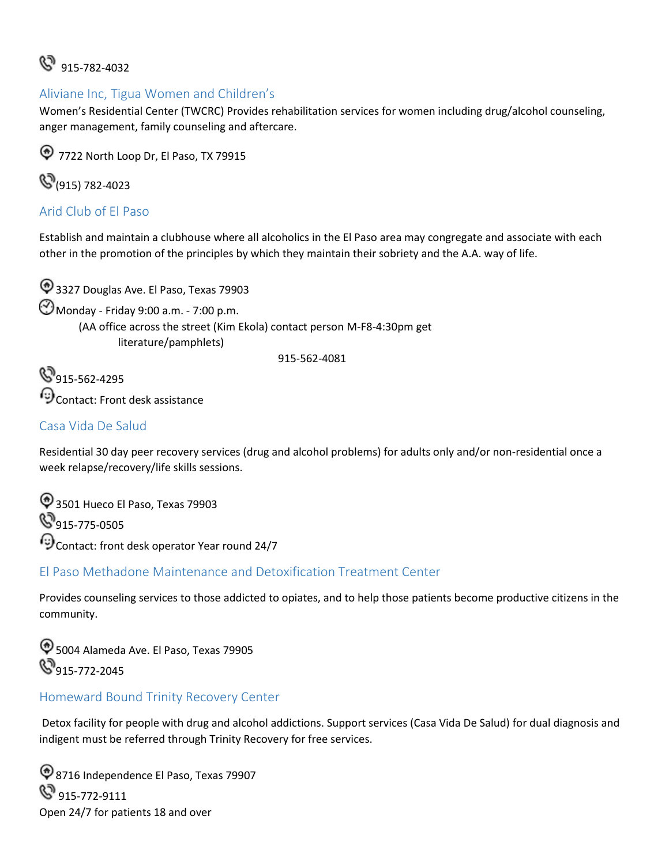## $\mathbb{S}^3$  915-782-4032

#### <span id="page-14-0"></span>Aliviane Inc, Tigua Women and Children's

Women's Residential Center (TWCRC) Provides rehabilitation services for women including drug/alcohol counseling, anger management, family counseling and aftercare.

**12** 7722 North Loop Dr, El Paso, TX 79915

**(S**(915) 782-4023

#### <span id="page-14-1"></span>Arid Club of El Paso

Establish and maintain a clubhouse where all alcoholics in the El Paso area may congregate and associate with each other in the promotion of the principles by which they maintain their sobriety and the A.A. way of life.

 $\bigcirc$  3327 Douglas Ave. El Paso, Texas 79903 Monday - Friday 9:00 a.m. - 7:00 p.m. (AA office across the street (Kim Ekola) contact person M-F8-4:30pm get literature/pamphlets)

915-562-4081

**S**915-562-4295 Contact: Front desk assistance

#### <span id="page-14-2"></span>Casa Vida De Salud

Residential 30 day peer recovery services (drug and alcohol problems) for adults only and/or non-residential once a week relapse/recovery/life skills sessions.

 $\textcircled{3}$  3501 Hueco El Paso, Texas 79903 **S**915-775-0505 Contact: front desk operator Year round 24/7

#### <span id="page-14-3"></span>El Paso Methadone Maintenance and Detoxification Treatment Center

Provides counseling services to those addicted to opiates, and to help those patients become productive citizens in the community.

5004 Alameda Ave. El Paso, Texas 79905 **S**915-772-2045

#### <span id="page-14-4"></span>Homeward Bound Trinity Recovery Center

Detox facility for people with drug and alcohol addictions. Support services (Casa Vida De Salud) for dual diagnosis and indigent must be referred through Trinity Recovery for free services.

8716 Independence El Paso, Texas 79907  $\mathbb{Q}_{915\text{-}772\text{-}9111}$ Open 24/7 for patients 18 and over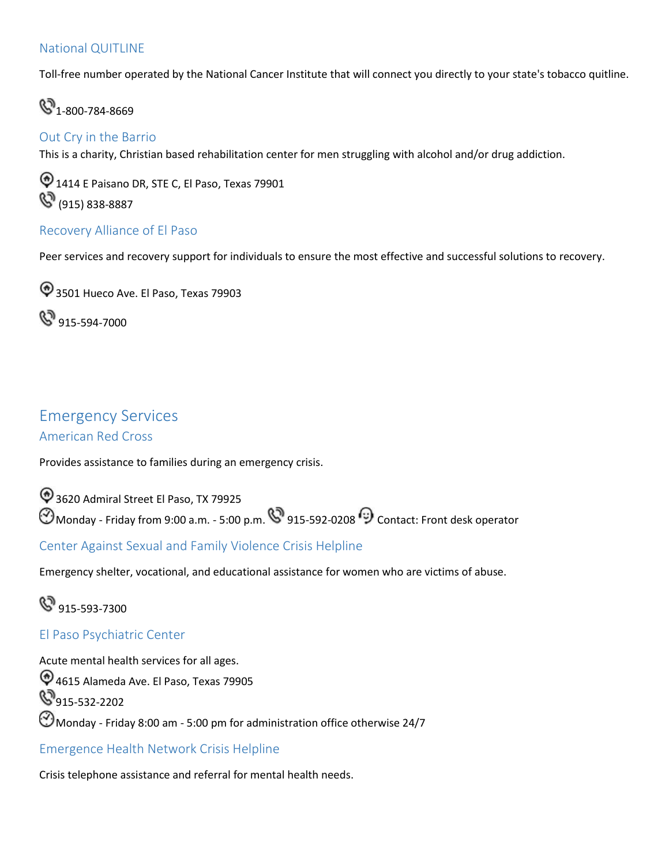#### <span id="page-15-0"></span>National QUITLINE

Toll-free number operated by the National Cancer Institute that will connect you directly to your state's tobacco quitline.

 $\mathbb{S}_{1-800-784-8669}$ 

### <span id="page-15-1"></span>Out Cry in the Barrio

This is a charity, Christian based rehabilitation center for men struggling with alcohol and/or drug addiction.

 $\textcircled{1414}$  E Paisano DR, STE C, El Paso, Texas 79901 (8) (915) 838-8887

#### <span id="page-15-2"></span>Recovery Alliance of El Paso

Peer services and recovery support for individuals to ensure the most effective and successful solutions to recovery.

 $\textcircled{3501}$  Hueco Ave. El Paso, Texas 79903

**&** 915-594-7000

#### <span id="page-15-3"></span>Emergency Services American Red Cross

Provides assistance to families during an emergency crisis.

Monday - Friday from 9:00 a.m. - 5:00 p.m. \`915-592-0208 "> Contact: Front desk operator <sup>4</sup> 3620 Admiral Street El Paso, TX 79925

<span id="page-15-4"></span>Center Against Sexual and Family Violence Crisis Helpline

Emergency shelter, vocational, and educational assistance for women who are victims of abuse.

 $\mathbb{S}^9$  915-593-7300

#### <span id="page-15-5"></span>El Paso Psychiatric Center

Acute mental health services for all ages. 4615 Alameda Ave. El Paso, Texas 79905 **&**915-532-2202  $\bigcirc$  Monday - Friday 8:00 am - 5:00 pm for administration office otherwise 24/7

<span id="page-15-6"></span>Emergence Health Network Crisis Helpline

Crisis telephone assistance and referral for mental health needs.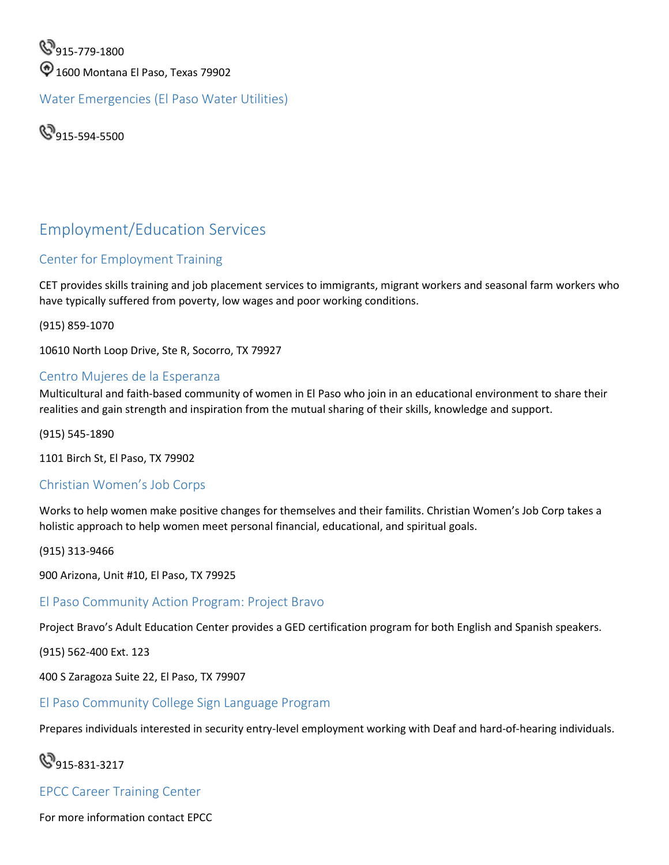**915-779-1800**  $\textcircled{1600}$  Montana El Paso, Texas 79902

<span id="page-16-0"></span>Water Emergencies (El Paso Water Utilities)

**915-594-5500** 

## <span id="page-16-1"></span>Employment/Education Services

#### <span id="page-16-2"></span>Center for Employment Training

CET provides skills training and job placement services to immigrants, migrant workers and seasonal farm workers who have typically suffered from poverty, low wages and poor working conditions.

(915) 859-1070

10610 North Loop Drive, Ste R, Socorro, TX 79927

#### <span id="page-16-3"></span>Centro Mujeres de la Esperanza

Multicultural and faith-based community of women in El Paso who join in an educational environment to share their realities and gain strength and inspiration from the mutual sharing of their skills, knowledge and support.

(915) 545-1890

1101 Birch St, El Paso, TX 79902

#### <span id="page-16-4"></span>Christian Women's Job Corps

Works to help women make positive changes for themselves and their familits. Christian Women's Job Corp takes a holistic approach to help women meet personal financial, educational, and spiritual goals.

(915) 313-9466

900 Arizona, Unit #10, El Paso, TX 79925

#### <span id="page-16-5"></span>El Paso Community Action Program: Project Bravo

Project Bravo's Adult Education Center provides a GED certification program for both English and Spanish speakers.

(915) 562-400 Ext. 123

400 S Zaragoza Suite 22, El Paso, TX 79907

#### <span id="page-16-6"></span>El Paso Community College Sign Language Program

Prepares individuals interested in security entry-level employment working with Deaf and hard-of-hearing individuals.

## **9**915-831-3217

#### <span id="page-16-7"></span>EPCC Career Training Center

For more information contact EPCC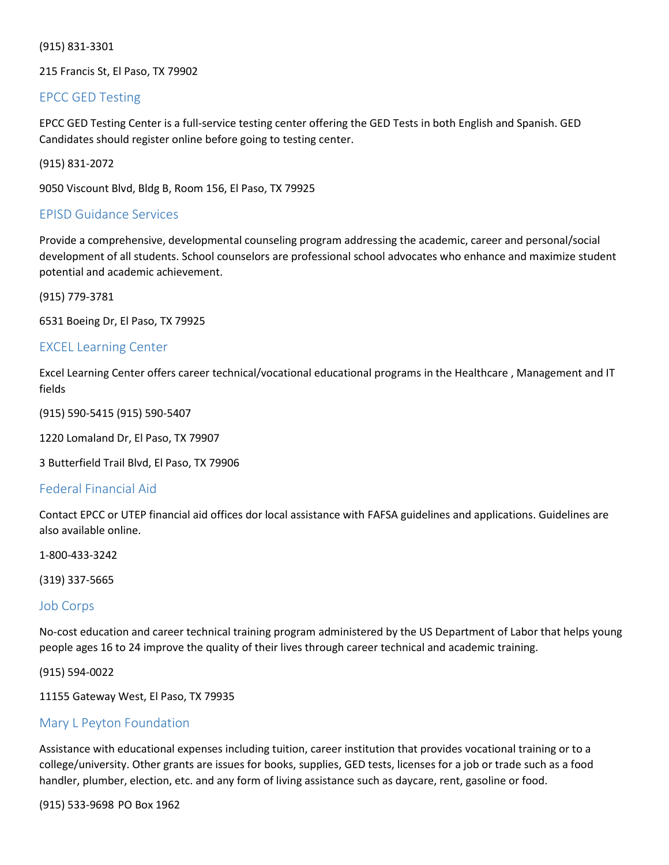(915) 831-3301

215 Francis St, El Paso, TX 79902

#### <span id="page-17-0"></span>EPCC GED Testing

 EPCC GED Testing Center is a full-service testing center offering the GED Tests in both English and Spanish. GED Candidates should register online before going to testing center.

(915) 831-2072

9050 Viscount Blvd, Bldg B, Room 156, El Paso, TX 79925

#### <span id="page-17-1"></span>EPISD Guidance Services

Provide a comprehensive, developmental counseling program addressing the academic, career and personal/social development of all students. School counselors are professional school advocates who enhance and maximize student potential and academic achievement.

(915) 779-3781

6531 Boeing Dr, El Paso, TX 79925

#### <span id="page-17-2"></span>EXCEL Learning Center

Excel Learning Center offers career technical/vocational educational programs in the Healthcare , Management and IT fields

(915) 590-5415 (915) 590-5407

1220 Lomaland Dr, El Paso, TX 79907

3 Butterfield Trail Blvd, El Paso, TX 79906

#### <span id="page-17-3"></span>Federal Financial Aid

Contact EPCC or UTEP financial aid offices dor local assistance with FAFSA guidelines and applications. Guidelines are also available online.

1-800-433-3242

(319) 337-5665

#### <span id="page-17-4"></span>Job Corps

No-cost education and career technical training program administered by the US Department of Labor that helps young people ages 16 to 24 improve the quality of their lives through career technical and academic training.

(915) 594-0022

11155 Gateway West, El Paso, TX 79935

#### <span id="page-17-5"></span>Mary L Peyton Foundation

 Assistance with educational expenses including tuition, career institution that provides vocational training or to a college/university. Other grants are issues for books, supplies, GED tests, licenses for a job or trade such as a food handler, plumber, election, etc. and any form of living assistance such as daycare, rent, gasoline or food.

(915) 533-9698 PO Box 1962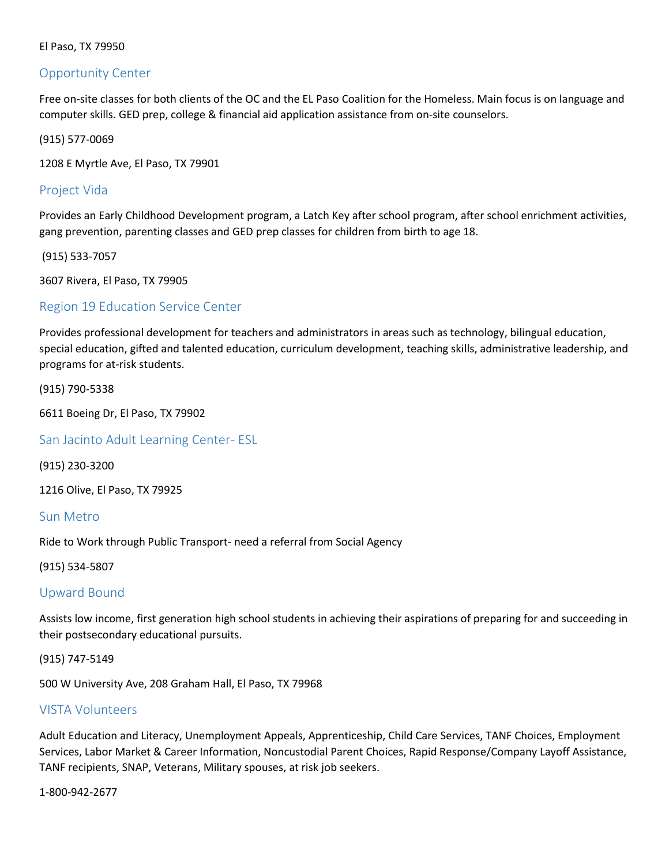#### <span id="page-18-0"></span>Opportunity Center

Free on-site classes for both clients of the OC and the EL Paso Coalition for the Homeless. Main focus is on language and computer skills. GED prep, college & financial aid application assistance from on-site counselors.

(915) 577-0069

1208 E Myrtle Ave, El Paso, TX 79901

#### <span id="page-18-1"></span>Project Vida

Provides an Early Childhood Development program, a Latch Key after school program, after school enrichment activities, gang prevention, parenting classes and GED prep classes for children from birth to age 18.

(915) 533-7057

3607 Rivera, El Paso, TX 79905

#### <span id="page-18-2"></span>Region 19 Education Service Center

Provides professional development for teachers and administrators in areas such as technology, bilingual education, special education, gifted and talented education, curriculum development, teaching skills, administrative leadership, and programs for at-risk students.

(915) 790-5338

6611 Boeing Dr, El Paso, TX 79902

<span id="page-18-3"></span>San Jacinto Adult Learning Center- ESL

(915) 230-3200

1216 Olive, El Paso, TX 79925

<span id="page-18-4"></span>Sun Metro

Ride to Work through Public Transport- need a referral from Social Agency

(915) 534-5807

#### <span id="page-18-5"></span>Upward Bound

Assists low income, first generation high school students in achieving their aspirations of preparing for and succeeding in their postsecondary educational pursuits.

(915) 747-5149

500 W University Ave, 208 Graham Hall, El Paso, TX 79968

#### <span id="page-18-6"></span>VISTA Volunteers

Adult Education and Literacy, Unemployment Appeals, Apprenticeship, Child Care Services, TANF Choices, Employment Services, Labor Market & Career Information, Noncustodial Parent Choices, Rapid Response/Company Layoff Assistance, TANF recipients, SNAP, Veterans, Military spouses, at risk job seekers.

1-800-942-2677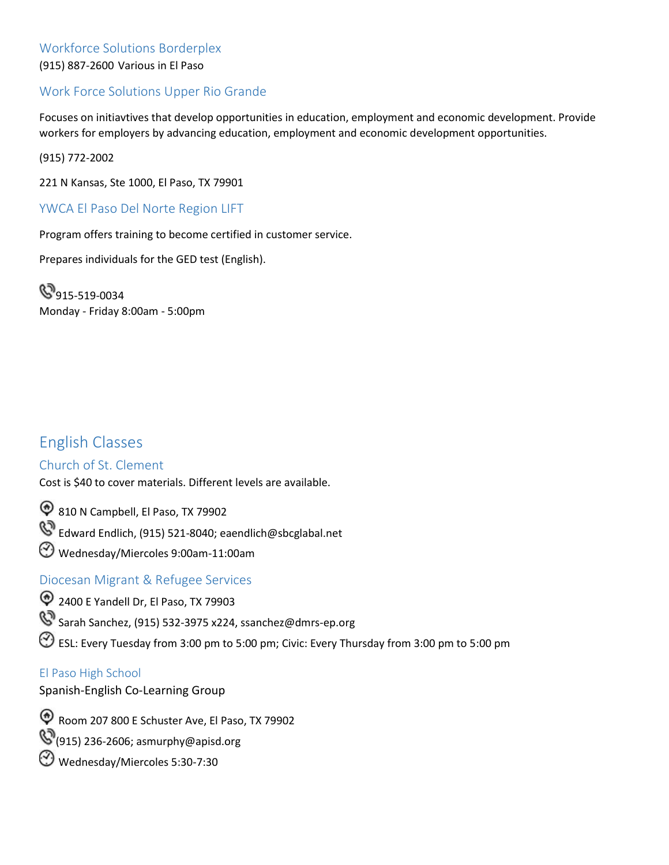#### <span id="page-19-0"></span> Workforce Solutions Borderplex (915) 887-2600 Various in El Paso

#### <span id="page-19-1"></span>Work Force Solutions Upper Rio Grande

Focuses on initiavtives that develop opportunities in education, employment and economic development. Provide workers for employers by advancing education, employment and economic development opportunities.

(915) 772-2002

221 N Kansas, Ste 1000, El Paso, TX 79901

#### <span id="page-19-2"></span>YWCA El Paso Del Norte Region LIFT

Program offers training to become certified in customer service.

Prepares individuals for the GED test (English).

**9**15-519-0034 Monday - Friday 8:00am - 5:00pm

## <span id="page-19-3"></span>English Classes

#### <span id="page-19-4"></span>Church of St. Clement

Cost is \$40 to cover materials. Different levels are available.

810 N Campbell, El Paso, TX 79902

Edward Endlich, (915) 521-8040; [eaendlich@sbcglabal.net](mailto:eaendlich@sbcglabal.net)

Wednesday/Miercoles 9:00am-11:00am

#### <span id="page-19-5"></span>Diocesan Migrant & Refugee Services

2400 E Yandell Dr, El Paso, TX 79903

Sarah Sanchez, (915) 532-3975 x224, [ssanchez@dmrs-ep.org](mailto:ssanchez@dmrs-ep.org)

ESL: Every Tuesday from 3:00 pm to 5:00 pm; Civic: Every Thursday from 3:00 pm to 5:00 pm

#### <span id="page-19-6"></span>El Paso High School

Spanish-English Co-Learning Group

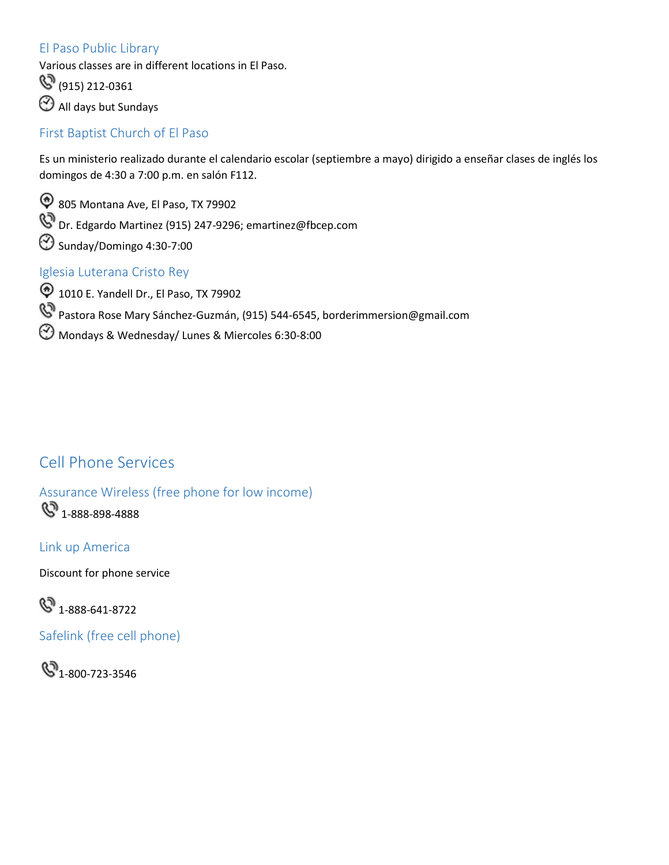#### <span id="page-20-0"></span>El Paso Public Library

Various classes are in different locations in El Paso.

(915) 212-0361

All days but Sundays

#### <span id="page-20-1"></span>First Baptist Church of El Paso

Es un ministerio realizado durante el calendario escolar (septiembre a mayo) dirigido a enseñar clases de inglés los domingos de 4:30 a 7:00 p.m. en salón F112.

805 Montana Ave, El Paso, TX 79902 Dr. Edgardo Martinez (915) 247-9296; [emartinez@fbcep.com](mailto:emartinez@fbcep.com) Sunday/Domingo 4:30-7:00

#### <span id="page-20-2"></span>Iglesia Luterana Cristo Rey

**1010 E. Yandell Dr., El Paso, TX 79902** Pastora Rose Mary Sánchez-Guzmán, (915) 544-6545, [borderimmersion@gmail.com](mailto:borderimmersion@gmail.com)  Mondays & Wednesday/ Lunes & Miercoles 6:30-8:00

## <span id="page-20-3"></span>Cell Phone Services

<span id="page-20-4"></span> Assurance Wireless (free phone for low income)  $\mathbb{C}^{3}$  1-888-898-4888

Link up America

Discount for phone service

 $\mathbb{S}$  1-888-641-8722

<span id="page-20-5"></span>Safelink (free cell phone)

 $\mathbb{S}_{1-800-723-3546}$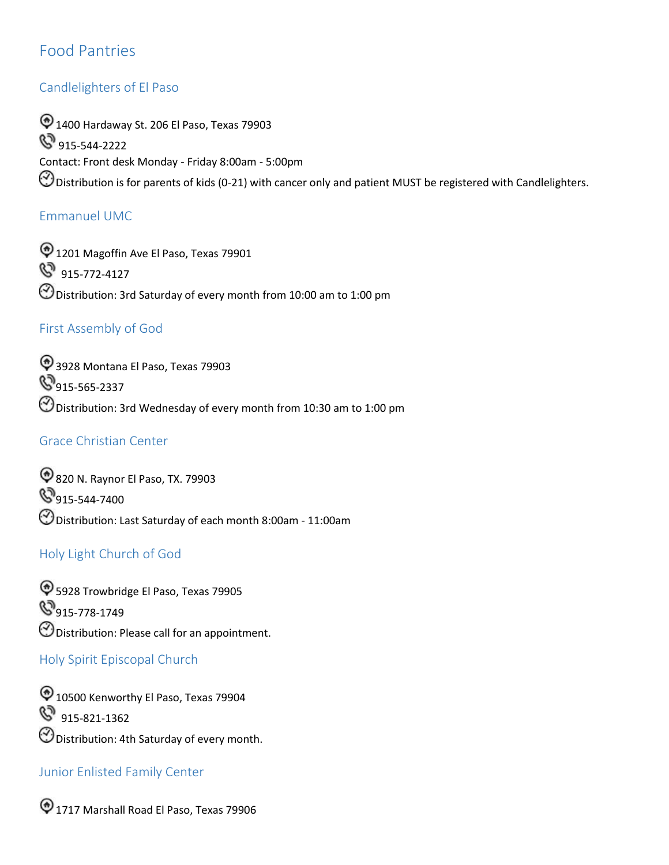## <span id="page-21-0"></span>Food Pantries

#### Candlelighters of El Paso

 $\textcircled{1400}$  Hardaway St. 206 El Paso, Texas 79903 **S** 915-544-2222 Contact: Front desk Monday - Friday 8:00am - 5:00pm  $\Theta$  Distribution is for parents of kids (0-21) with cancer only and patient MUST be registered with Candlelighters.

#### Emmanuel UMC

 Distribution: 3rd Saturday of every month from 10:00 am to 1:00 pm  $\textcircled{1201}$  Magoffin Ave El Paso, Texas 79901 **S** 915-772-4127

#### First Assembly of God

 Distribution: 3rd Wednesday of every month from 10:30 am to 1:00 pm 3928 Montana El Paso, Texas 79903 **9**915-565-2337

#### Grace Christian Center

820 N. Raynor El Paso, TX. 79903  $\mathbb{S}_{915\text{-}544\text{-}7400}$  $\bigcirc$  Distribution: Last Saturday of each month 8:00am - 11:00am

#### Holy Light Church of God

 $\bigcirc$  5928 Trowbridge El Paso, Texas 79905 **915-778-1749**  $\Theta$  Distribution: Please call for an appointment.

#### <span id="page-21-1"></span>Holy Spirit Episcopal Church

 Distribution: 4th Saturday of every month. <sup>1</sup> 10500 Kenworthy El Paso, Texas 79904 8 915-821-1362

#### Junior Enlisted Family Center

1717 Marshall Road El Paso, Texas 79906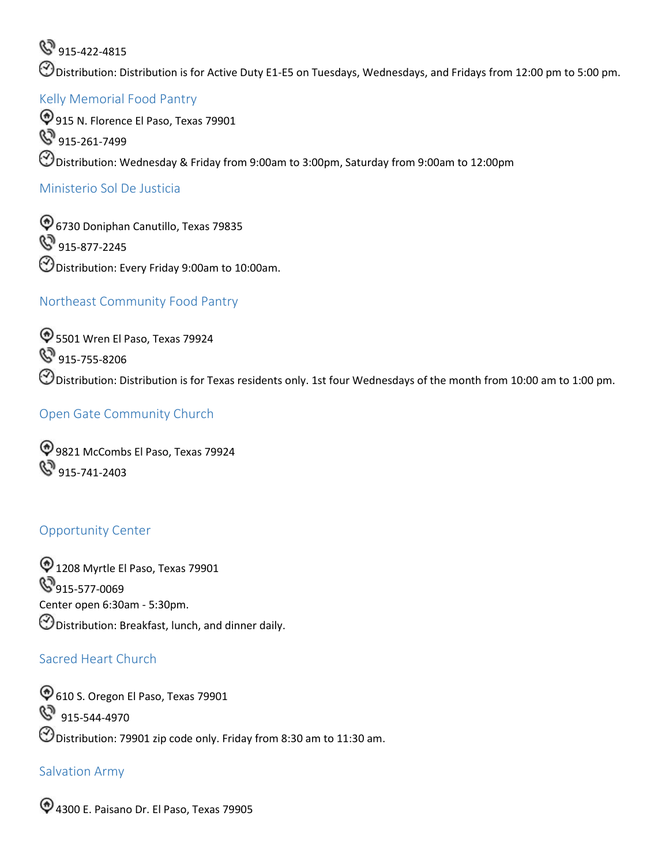**&** 915-422-4815

Distribution: Distribution is for Active Duty E1-E5 on Tuesdays, Wednesdays, and Fridays from 12:00 pm to 5:00 pm.

#### <span id="page-22-0"></span>Kelly Memorial Food Pantry

 Distribution: Wednesday & Friday from 9:00am to 3:00pm, Saturday from 9:00am to 12:00pm 915 N. Florence El Paso, Texas 79901  $\mathbb{S}^3$  915-261-7499

#### <span id="page-22-1"></span>Ministerio Sol De Justicia

6730 Doniphan Canutillo, Texas 79835 **S** 915-877-2245 Distribution: Every Friday 9:00am to 10:00am.

#### Northeast Community Food Pantry

 Distribution: Distribution is for Texas residents only. 1st four Wednesdays of the month from 10:00 am to 1:00 pm.  $\textcircled{5501}$  Wren El Paso, Texas 79924 **S** 915-755-8206

#### Open Gate Community Church

9821 McCombs El Paso, Texas 79924  $\mathbb{S}^3$  915-741-2403

#### <span id="page-22-2"></span>Opportunity Center

 $\textcircled{1208}$  Myrtle El Paso, Texas 79901  $\mathbb{S}_{915\text{-}577\text{-}0069}$ Center open 6:30am - 5:30pm.  $\bigcirc$  Distribution: Breakfast, lunch, and dinner daily.

#### Sacred Heart Church

 Distribution: 79901 zip code only. Friday from 8:30 am to 11:30 am.  $\textcircled{6}$  610 S. Oregon El Paso, Texas 79901 **S** 915-544-4970

#### Salvation Army

4300 E. Paisano Dr. El Paso, Texas 79905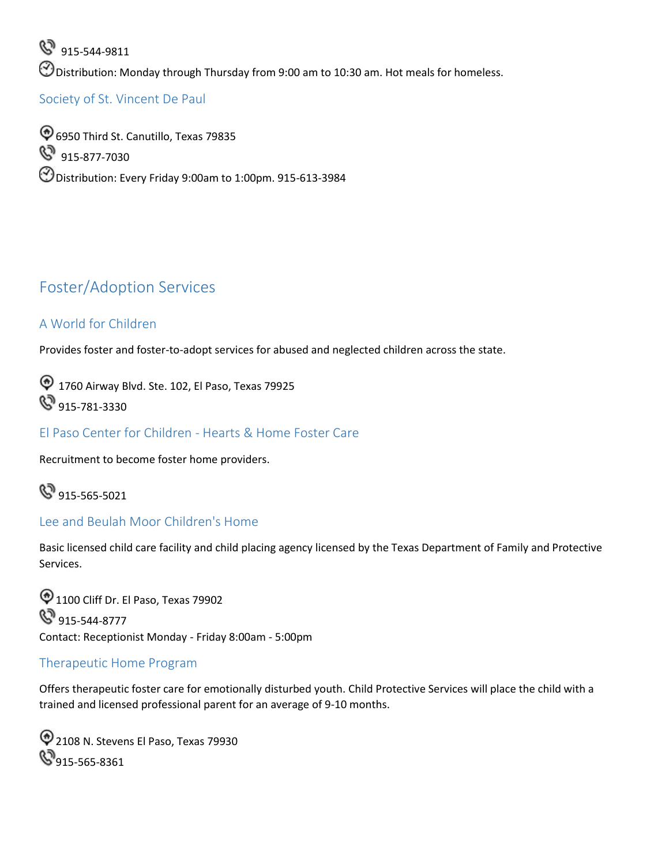Distribution: Monday through Thursday from 9:00 am to 10:30 am. Hot meals for homeless. 8 915-544-9811

<span id="page-23-0"></span>Society of St. Vincent De Paul

6950 Third St. Canutillo, Texas 79835 8 915-877-7030 Distribution: Every Friday 9:00am to 1:00pm. 915-613-3984

## <span id="page-23-1"></span>Foster/Adoption Services

#### A World for Children

Provides foster and foster-to-adopt services for abused and neglected children across the state.

<sup>1</sup> 1760 Airway Blvd. Ste. 102, El Paso, Texas 79925 **&** 915-781-3330

<span id="page-23-2"></span>El Paso Center for Children - Hearts & Home Foster Care

Recruitment to become foster home providers.

**&** 915-565-5021

#### <span id="page-23-3"></span>Lee and Beulah Moor Children's Home

Basic licensed child care facility and child placing agency licensed by the Texas Department of Family and Protective Services.

 $\textcircled{1100}$  Cliff Dr. El Paso, Texas 79902 **S** 915-544-8777 Contact: Receptionist Monday - Friday 8:00am - 5:00pm

#### <span id="page-23-4"></span>Therapeutic Home Program

Offers therapeutic foster care for emotionally disturbed youth. Child Protective Services will place the child with a trained and licensed professional parent for an average of 9-10 months.

2108 N. Stevens El Paso, Texas 79930 **8**915-565-8361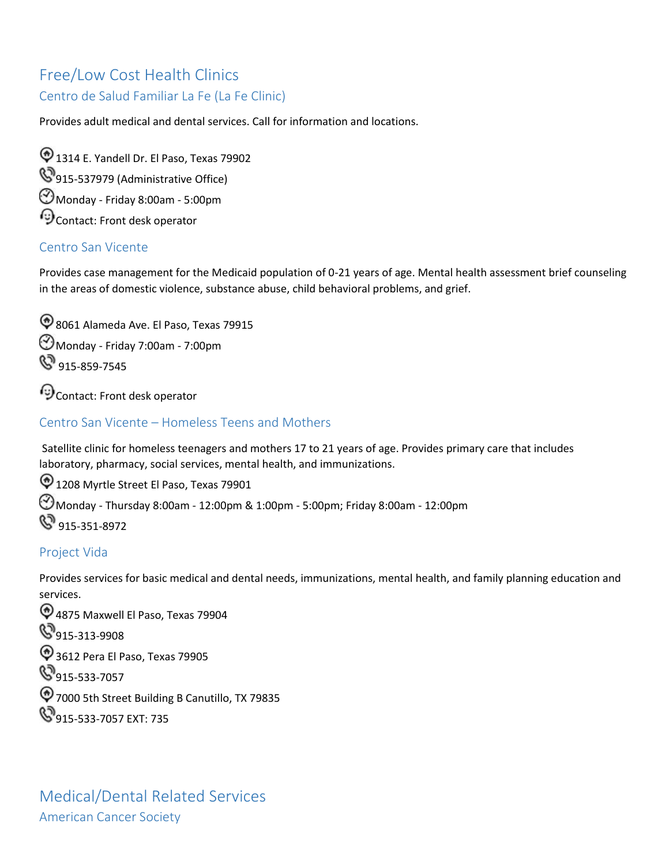## <span id="page-24-0"></span>Free/Low Cost Health Clinics

## Centro de Salud Familiar La Fe (La Fe Clinic)

Provides adult medical and dental services. Call for information and locations.

 $\bigcirc$  1314 E. Yandell Dr. El Paso, Texas 79902 **915-537979 (Administrative Office)** Monday - Friday 8:00am - 5:00pm  $\odot$  Contact: Front desk operator

### <span id="page-24-1"></span>Centro San Vicente

Provides case management for the Medicaid population of 0-21 years of age. Mental health assessment brief counseling in the areas of domestic violence, substance abuse, child behavioral problems, and grief.

8061 Alameda Ave. El Paso, Texas 79915 Monday - Friday 7:00am - 7:00pm  $\mathbb{S}^3$  915-859-7545

Contact: Front desk operator

### <span id="page-24-2"></span>Centro San Vicente – Homeless Teens and Mothers

 Satellite clinic for homeless teenagers and mothers 17 to 21 years of age. Provides primary care that includes laboratory, pharmacy, social services, mental health, and immunizations.

 $\textcircled{1208}$  Myrtle Street El Paso, Texas 79901 Monday - Thursday 8:00am - 12:00pm & 1:00pm - 5:00pm; Friday 8:00am - 12:00pm 8 915-351-8972

#### <span id="page-24-3"></span>Project Vida

Provides services for basic medical and dental needs, immunizations, mental health, and family planning education and services.

<span id="page-24-4"></span> 4875 Maxwell El Paso, Texas 79904 **S** 915-313-9908 3612 Pera El Paso, Texas 79905 **S**915-533-7057 7000 5th Street Building B Canutillo, TX 79835 **915-533-7057 EXT: 735**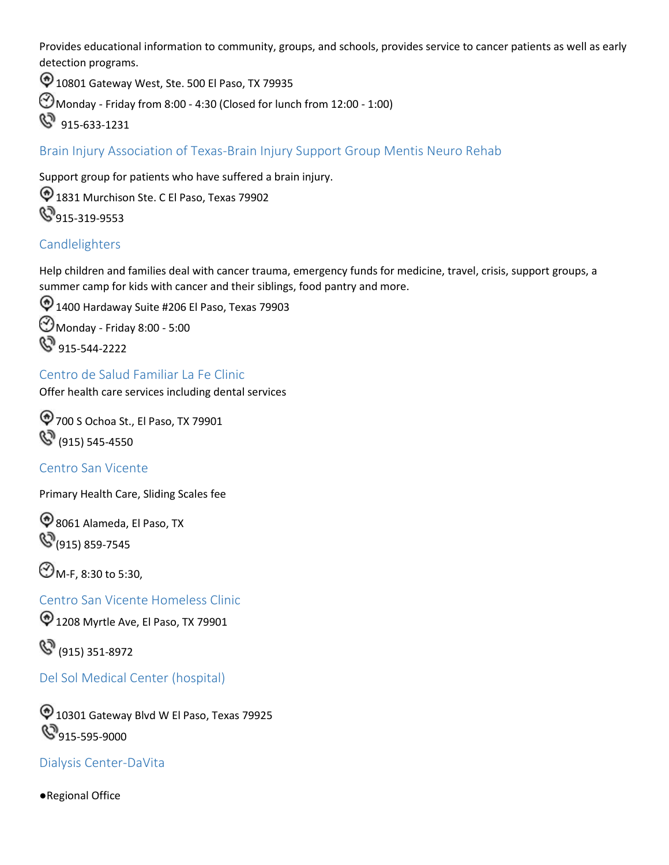Provides educational information to community, groups, and schools, provides service to cancer patients as well as early detection programs.

10801 Gateway West, Ste. 500 El Paso, TX 79935

Monday - Friday from 8:00 - 4:30 (Closed for lunch from 12:00 - 1:00)

915-633-1231

<span id="page-25-0"></span>Brain Injury Association of Texas-Brain Injury Support Group Mentis Neuro Rehab

Support group for patients who have suffered a brain injury.  $\bigcirc$  1831 Murchison Ste. C El Paso, Texas 79902 **8**915-319-9553

#### <span id="page-25-1"></span>Candlelighters

Help children and families deal with cancer trauma, emergency funds for medicine, travel, crisis, support groups, a summer camp for kids with cancer and their siblings, food pantry and more.

 $\textcircled{1400}$  Hardaway Suite #206 El Paso, Texas 79903 Monday - Friday 8:00 - 5:00 **915-544-2222** 

<span id="page-25-2"></span> Centro de Salud Familiar La Fe Clinic Offer health care services including dental services

700 S Ochoa St., El Paso, TX 79901  $\mathbb{S}^3$  (915) 545-4550

<span id="page-25-3"></span>Centro San Vicente

Primary Health Care, Sliding Scales fee

8061 Alameda, El Paso, TX **(915) 859-7545** 

 $\bigodot$  M-F, 8:30 to 5:30,

<span id="page-25-4"></span>Centro San Vicente Homeless Clinic

 $\textcircled{1208}$  Myrtle Ave, El Paso, TX 79901

(8) (915) 351-8972

<span id="page-25-5"></span>Del Sol Medical Center (hospital)

 $\textcircled{1}$  10301 Gateway Blvd W El Paso, Texas 79925 **915-595-9000** 

<span id="page-25-6"></span>Dialysis Center-DaVita

●Regional Office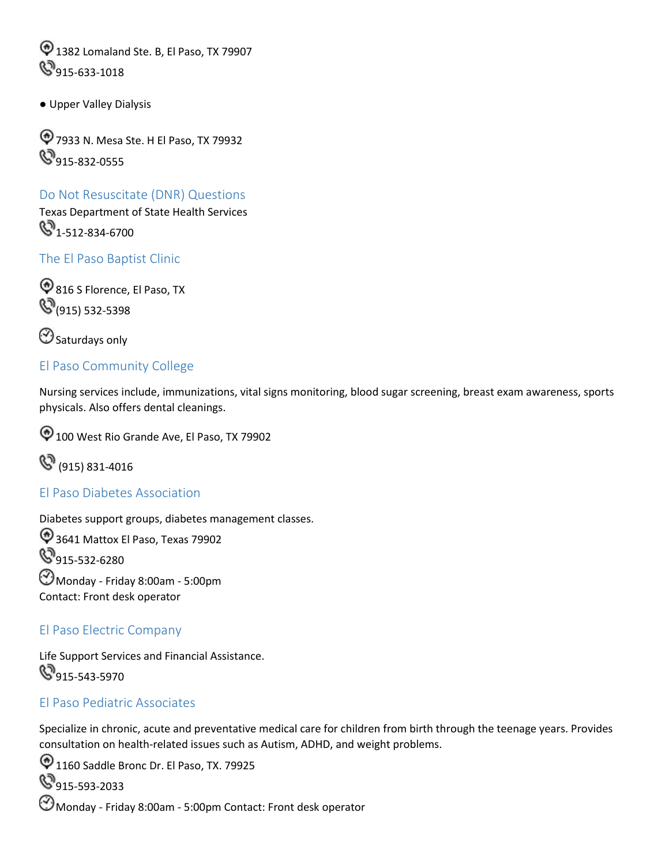$\textcircled{1}$  1382 Lomaland Ste. B, El Paso, TX 79907 **S**915-633-1018

● Upper Valley Dialysis

7933 N. Mesa Ste. H El Paso, TX 79932 **S**915-832-0555

### Do Not Resuscitate (DNR) Questions

Texas Department of State Health Services  $\mathbb{S}_{1-512-834-6700}$ 

<span id="page-26-0"></span>The El Paso Baptist Clinic

**816 S Florence, El Paso, TX (915)** 532-5398

 $\bigcirc$  Saturdays only

#### <span id="page-26-1"></span>El Paso Community College

Nursing services include, immunizations, vital signs monitoring, blood sugar screening, breast exam awareness, sports physicals. Also offers dental cleanings.

100 West Rio Grande Ave, El Paso, TX 79902



#### <span id="page-26-2"></span>El Paso Diabetes Association

Diabetes support groups, diabetes management classes. 3641 Mattox El Paso, Texas 79902 **9**15-532-6280 Monday - Friday 8:00am - 5:00pm Contact: Front desk operator

#### El Paso Electric Company

Life Support Services and Financial Assistance. **915-543-5970** 

#### <span id="page-26-3"></span>El Paso Pediatric Associates

Specialize in chronic, acute and preventative medical care for children from birth through the teenage years. Provides consultation on health-related issues such as Autism, ADHD, and weight problems.

 $\textcircled{1160}$  Saddle Bronc Dr. El Paso, TX. 79925

**S**915-593-2033

Monday - Friday 8:00am - 5:00pm Contact: Front desk operator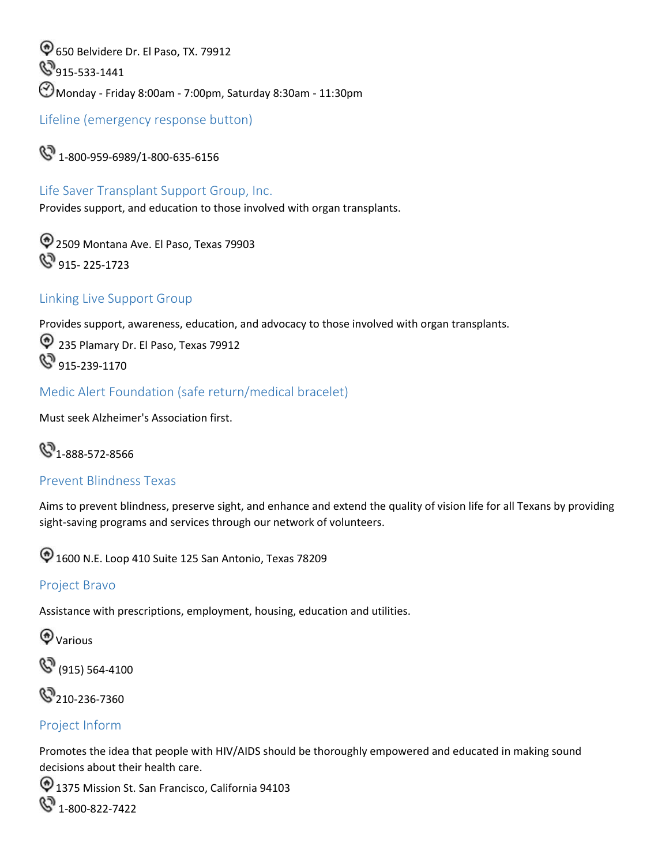650 Belvidere Dr. El Paso, TX. 79912  $\mathbb{S}_{915\text{-}533\text{-}1441}$ Monday - Friday 8:00am - 7:00pm, Saturday 8:30am - 11:30pm

<span id="page-27-0"></span>Lifeline (emergency response button)

 $\mathbb{C}$  1-800-959-6989/1-800-635-6156

### Life Saver Transplant Support Group, Inc.

Provides support, and education to those involved with organ transplants.

2509 Montana Ave. El Paso, Texas 79903  $\mathbb{Q}^9$  915- 225-1723

#### Linking Live Support Group

Provides support, awareness, education, and advocacy to those involved with organ transplants.

 235 Plamary Dr. El Paso, Texas 79912  $\mathbb{S}^3$  915-239-1170

<span id="page-27-1"></span>Medic Alert Foundation (safe return/medical bracelet)

Must seek Alzheimer's Association first.

## $\mathbb{C}^{3}$ 1-888-572-8566

#### <span id="page-27-2"></span>Prevent Blindness Texas

Aims to prevent blindness, preserve sight, and enhance and extend the quality of vision life for all Texans by providing sight-saving programs and services through our network of volunteers.

 $\textcircled{1600}$  N.E. Loop 410 Suite 125 San Antonio, Texas 78209

#### <span id="page-27-3"></span>Project Bravo

Assistance with prescriptions, employment, housing, education and utilities.

**Warious** 

(915) 564-4100



#### <span id="page-27-4"></span>Project Inform

Promotes the idea that people with HIV/AIDS should be thoroughly empowered and educated in making sound decisions about their health care.

<sup>1</sup> 1375 Mission St. San Francisco, California 94103 **8** 1-800-822-7422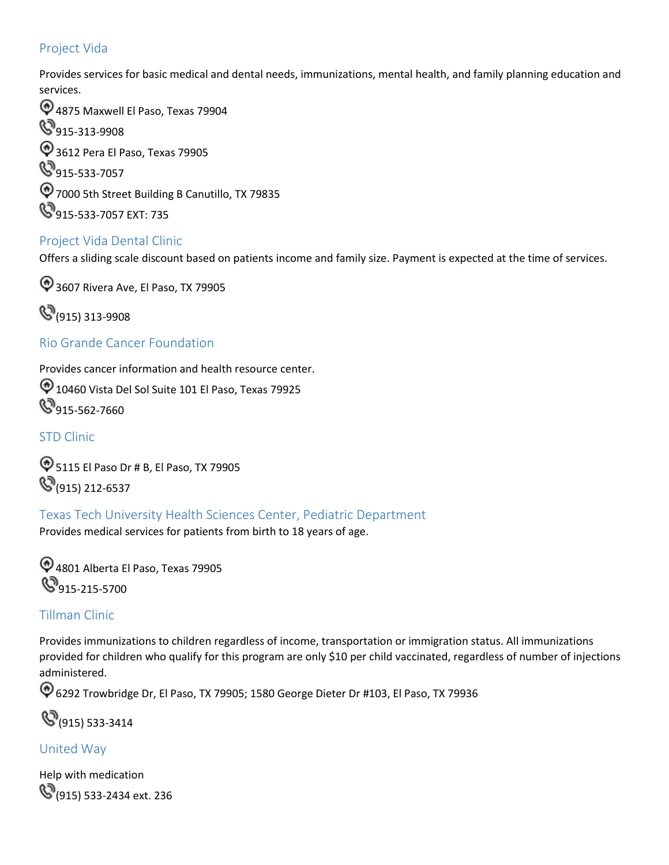#### <span id="page-28-0"></span>Project Vida

Provides services for basic medical and dental needs, immunizations, mental health, and family planning education and services.

 4875 Maxwell El Paso, Texas 79904 **915-313-9908** 3612 Pera El Paso, Texas 79905 **915-533-7057** 7000 5th Street Building B Canutillo, TX 79835 **915-533-7057 EXT: 735** 

#### <span id="page-28-1"></span>Project Vida Dental Clinic

Offers a sliding scale discount based on patients income and family size. Payment is expected at the time of services.

<sup>2</sup>3607 Rivera Ave, El Paso, TX 79905

(915) 313-9908

#### <span id="page-28-2"></span>Rio Grande Cancer Foundation

Provides cancer information and health resource center.

10460 Vista Del Sol Suite 101 El Paso, Texas 79925 **915-562-7660** 

#### <span id="page-28-3"></span>STD Clinic

5115 El Paso Dr # B, El Paso, TX 79905 **(915) 212-6537** 

<span id="page-28-4"></span>Texas Tech University Health Sciences Center, Pediatric Department

Provides medical services for patients from birth to 18 years of age.

4801 Alberta El Paso, Texas 79905 **S**915-215-5700

#### <span id="page-28-5"></span>Tillman Clinic

Provides immunizations to children regardless of income, transportation or immigration status. All immunizations provided for children who qualify for this program are only \$10 per child vaccinated, regardless of number of injections administered.

6292 Trowbridge Dr, El Paso, TX 79905; 1580 George Dieter Dr #103, El Paso, TX 79936

(915) 533-3414

#### <span id="page-28-6"></span>United Way

Help with medication **(915) 533-2434 ext. 236**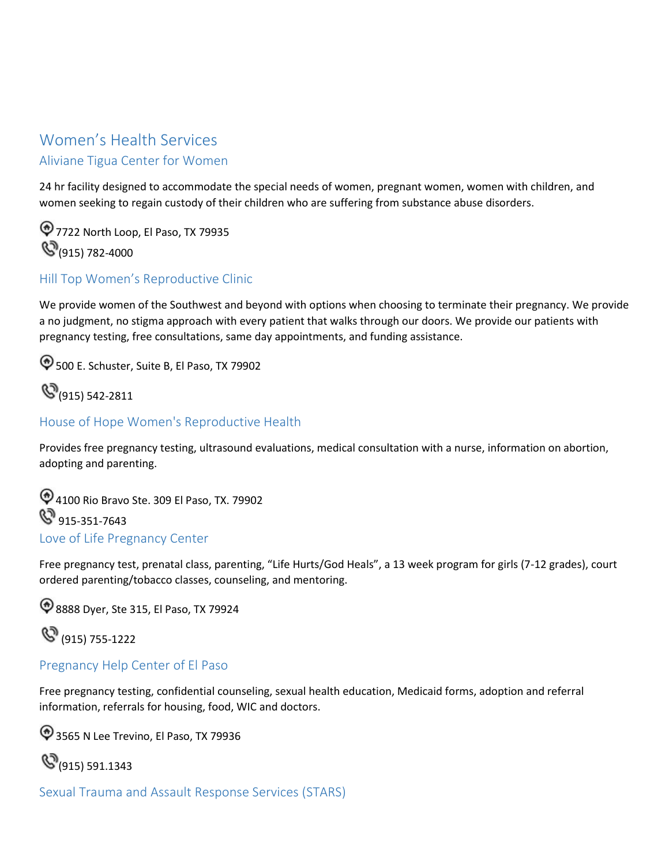## <span id="page-29-1"></span><span id="page-29-0"></span> Aliviane Tigua Center for Women Women's Health Services

24 hr facility designed to accommodate the special needs of women, pregnant women, women with children, and women seeking to regain custody of their children who are suffering from substance abuse disorders.

 $\textcircled{7}$  7722 North Loop, El Paso, TX 79935 **(S**(915) 782-4000

#### <span id="page-29-2"></span>Hill Top Women's Reproductive Clinic

We provide women of the Southwest and beyond with options when choosing to terminate their pregnancy. We provide a no judgment, no stigma approach with every patient that walks through our doors. We provide our patients with pregnancy testing, free consultations, same day appointments, and funding assistance.

500 E. Schuster, Suite B, El Paso, TX 79902



#### <span id="page-29-3"></span>House of Hope Women's Reproductive Health

Provides free pregnancy testing, ultrasound evaluations, medical consultation with a nurse, information on abortion, adopting and parenting.

 Love of Life Pregnancy Center 4100 Rio Bravo Ste. 309 El Paso, TX. 79902 **S** 915-351-7643

Free pregnancy test, prenatal class, parenting, "Life Hurts/God Heals", a 13 week program for girls (7-12 grades), court ordered parenting/tobacco classes, counseling, and mentoring.

8888 Dyer, Ste 315, El Paso, TX 79924

(8) (915) 755-1222

#### <span id="page-29-4"></span>Pregnancy Help Center of El Paso

Free pregnancy testing, confidential counseling, sexual health education, Medicaid forms, adoption and referral information, referrals for housing, food, WIC and doctors.

3565 N Lee Trevino, El Paso, TX 79936

**(S**(915) 591.1343

<span id="page-29-5"></span>Sexual Trauma and Assault Response Services (STARS)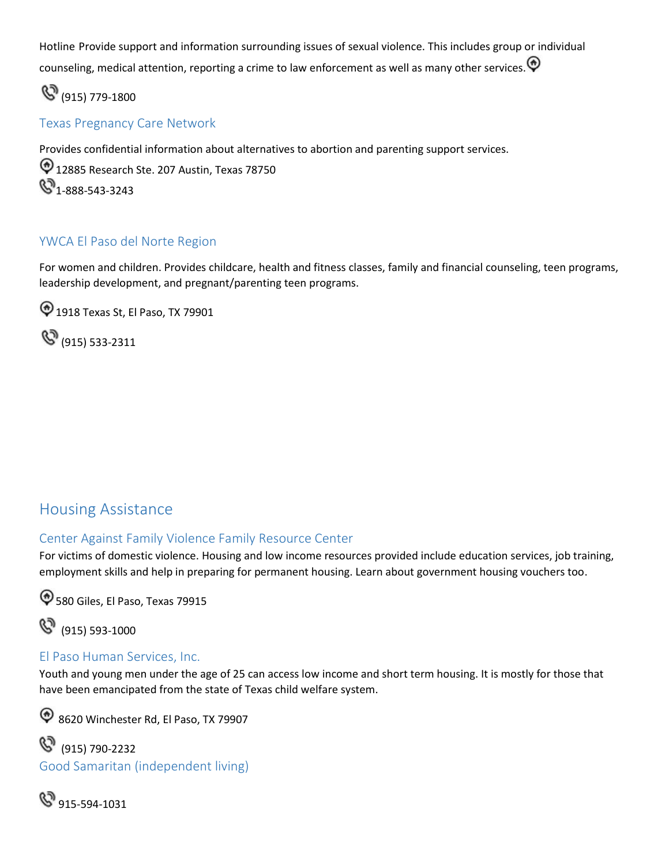counseling, medical attention, reporting a crime to law enforcement as well as many other services. Hotline Provide support and information surrounding issues of sexual violence. This includes group or individual

 $\mathbb{C}^{9}$  (915) 779-1800

#### <span id="page-30-0"></span>Texas Pregnancy Care Network

Provides confidential information about alternatives to abortion and parenting support services.

<sup>1</sup>/2085 Research Ste. 207 Austin, Texas 78750 **4**1-888-543-3243

#### <span id="page-30-1"></span>YWCA El Paso del Norte Region

For women and children. Provides childcare, health and fitness classes, family and financial counseling, teen programs, leadership development, and pregnant/parenting teen programs.

1918 Texas St, El Paso, TX 79901

(915) 533-2311

## <span id="page-30-2"></span>Housing Assistance

#### <span id="page-30-3"></span>Center Against Family Violence Family Resource Center

For victims of domestic violence. Housing and low income resources provided include education services, job training, employment skills and help in preparing for permanent housing. Learn about government housing vouchers too.

 $\textcircled{580}$  Giles, El Paso, Texas 79915

(915) 593-1000

#### <span id="page-30-4"></span>El Paso Human Services, Inc.

 Youth and young men under the age of 25 can access low income and short term housing. It is mostly for those that have been emancipated from the state of Texas child welfare system.

8620 Winchester Rd, El Paso, TX 79907

(915) 790-2232 Good Samaritan (independent living)

**&** 915-594-1031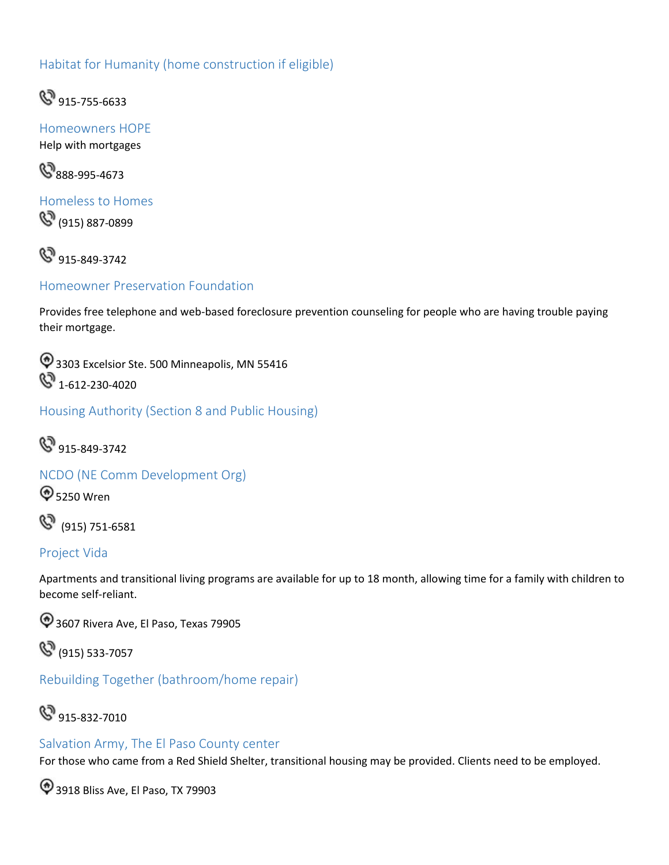#### Habitat for Humanity (home construction if eligible)



<span id="page-31-0"></span>Homeowners HOPE Help with mortgages

**8**888-995-4673

<span id="page-31-1"></span>Homeless to Homes (915) 887-0899

**&** 915-849-3742

<span id="page-31-2"></span>Homeowner Preservation Foundation

Provides free telephone and web-based foreclosure prevention counseling for people who are having trouble paying their mortgage.

<sup>4</sup> 3303 Excelsior Ste. 500 Minneapolis, MN 55416 **&** 1-612-230-4020

<span id="page-31-3"></span>Housing Authority (Section 8 and Public Housing)

 $\mathbb{S}^3$  915-849-3742

<span id="page-31-4"></span>NCDO (NE Comm Development Org)

**4** 5250 Wren

(915) 751-6581

#### <span id="page-31-5"></span>Project Vida

Apartments and transitional living programs are available for up to 18 month, allowing time for a family with children to become self-reliant.

3607 Rivera Ave, El Paso, Texas 79905

(915) 533-7057

<span id="page-31-6"></span>Rebuilding Together (bathroom/home repair)

## **S** 915-832-7010

#### <span id="page-31-7"></span>Salvation Army, The El Paso County center

For those who came from a Red Shield Shelter, transitional housing may be provided. Clients need to be employed.

3918 Bliss Ave, El Paso, TX 79903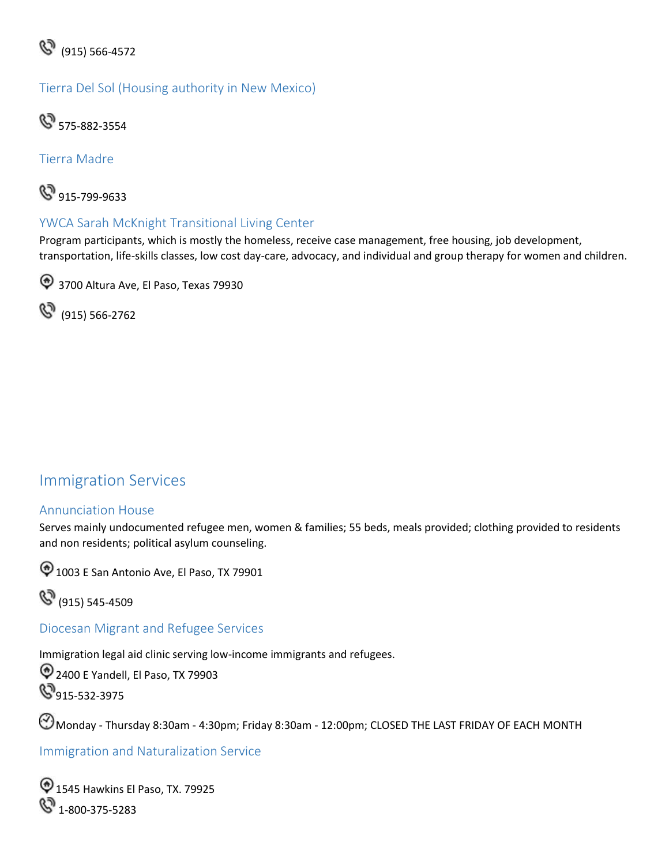

Tierra Del Sol (Housing authority in New Mexico)



Tierra Madre



#### <span id="page-32-0"></span>YWCA Sarah McKnight Transitional Living Center

Program participants, which is mostly the homeless, receive case management, free housing, job development, transportation, life-skills classes, low cost day-care, advocacy, and individual and group therapy for women and children.

<sup>4</sup> 3700 Altura Ave, El Paso, Texas 79930

(915) 566-2762

## <span id="page-32-1"></span>Immigration Services

#### <span id="page-32-2"></span>Annunciation House

 Serves mainly undocumented refugee men, women & families; 55 beds, meals provided; clothing provided to residents and non residents; political asylum counseling.

 $\bigcirc$  1003 E San Antonio Ave, El Paso, TX 79901

(915) 545-4509

<span id="page-32-3"></span>Diocesan Migrant and Refugee Services

Immigration legal aid clinic serving low-income immigrants and refugees.

2400 E Yandell, El Paso, TX 79903 **915-532-3975** 

Monday - Thursday 8:30am - 4:30pm; Friday 8:30am - 12:00pm; CLOSED THE LAST FRIDAY OF EACH MONTH

<span id="page-32-4"></span>Immigration and Naturalization Service

1545 Hawkins El Paso, TX. 79925 **&** 1-800-375-5283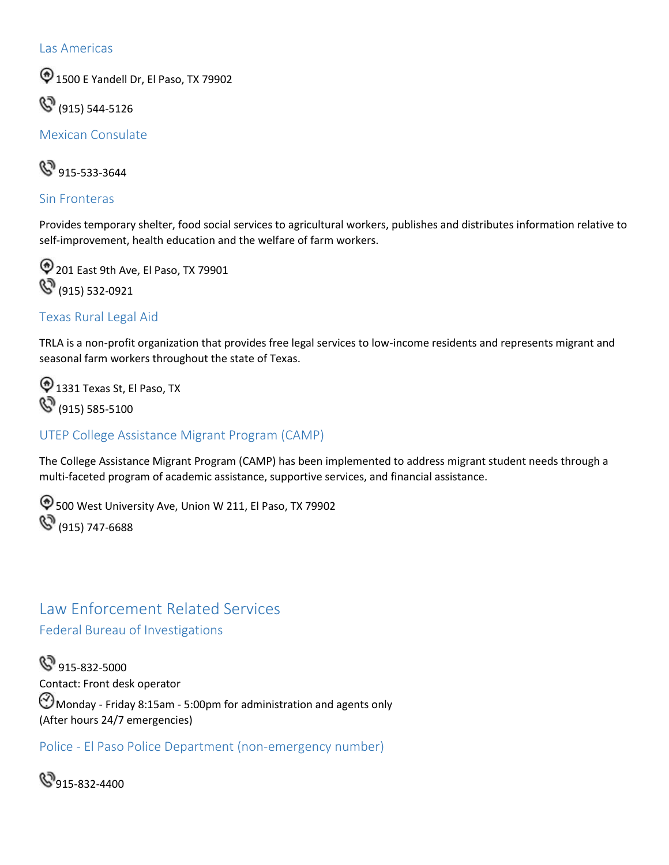#### <span id="page-33-0"></span>Las Americas

**1500 E Yandell Dr, El Paso, TX 79902** 

(915) 544-5126

<span id="page-33-1"></span>Mexican Consulate

**&** 915-533-3644

#### <span id="page-33-2"></span>Sin Fronteras

Provides temporary shelter, food social services to agricultural workers, publishes and distributes information relative to self-improvement, health education and the welfare of farm workers.

201 East 9th Ave, El Paso, TX 79901 **(S)** (915) 532-0921

#### <span id="page-33-3"></span>Texas Rural Legal Aid

TRLA is a non-profit organization that provides free legal services to low-income residents and represents migrant and seasonal farm workers throughout the state of Texas.

<sup>1</sup>331 Texas St, El Paso, TX (915) 585-5100

#### <span id="page-33-4"></span>UTEP College Assistance Migrant Program (CAMP)

The College Assistance Migrant Program (CAMP) has been implemented to address migrant student needs through a multi-faceted program of academic assistance, supportive services, and financial assistance.

 $\bigcirc$  500 West University Ave, Union W 211, El Paso, TX 79902  $\mathbb{C}^{(915)}$  747-6688

## <span id="page-33-5"></span>Law Enforcement Related Services

<span id="page-33-6"></span>Federal Bureau of Investigations

**S** 915-832-5000 Contact: Front desk operator  $\Theta$  Monday - Friday 8:15am - 5:00pm for administration and agents only (After hours 24/7 emergencies)

<span id="page-33-7"></span>Police - El Paso Police Department (non-emergency number)

 $\mathbb{S}_{915-832-4400}$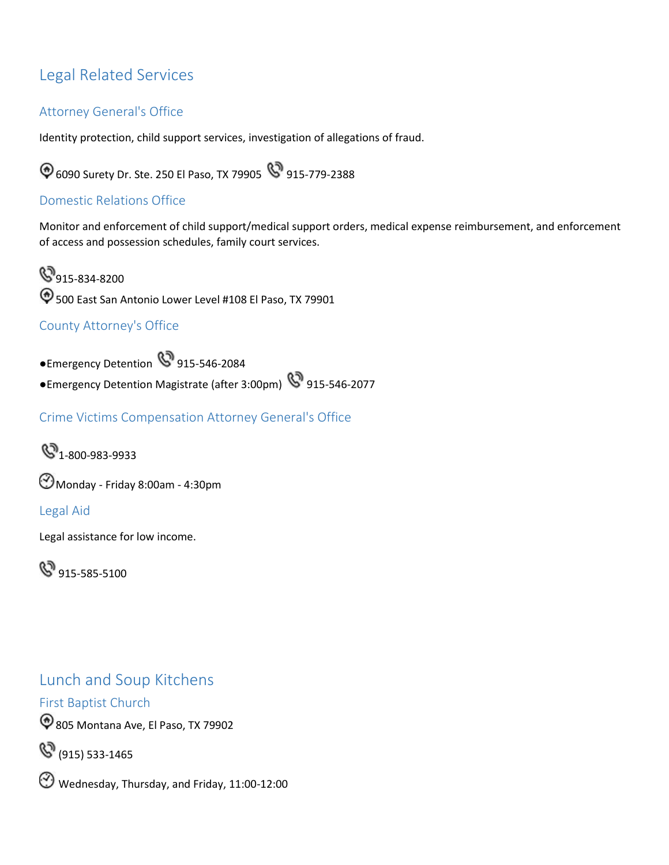#### Attorney General's Office

Identity protection, child support services, investigation of allegations of fraud.

6090 Surety Dr. Ste. 250 El Paso, TX 79905 915-779-2388

#### <span id="page-34-1"></span>Domestic Relations Office

Monitor and enforcement of child support/medical support orders, medical expense reimbursement, and enforcement of access and possession schedules, family court services.

<span id="page-34-0"></span>Legal Related Services<br>
Attorney General's Office<br>
Identity protection, child suppor<br>
© 6090 Surety Dr. Ste. 250 El Pa<br>
Domestic Relations Office<br>
Monitor and enforcement of chi<br>
of access and possession schedu<br>
© 915-834-**915-834-8200**  $\bigcirc$  500 East San Antonio Lower Level #108 El Paso, TX 79901

### <span id="page-34-2"></span>County Attorney's Office

●Emergency Detention 1915-546-2084

●Emergency Detention Magistrate (after 3:00pm) <a>915-546-2077

Crime Victims Compensation Attorney General's Office



Monday - Friday 8:00am - 4:30pm

#### <span id="page-34-3"></span>Legal Aid

Legal assistance for low income.

 $\mathbb{S}^3$  915-585-5100

## <span id="page-34-4"></span>Lunch and Soup Kitchens

<span id="page-34-5"></span>First Baptist Church

805 Montana Ave, El Paso, TX 79902

(915) 533-1465

Wednesday, Thursday, and Friday, 11:00-12:00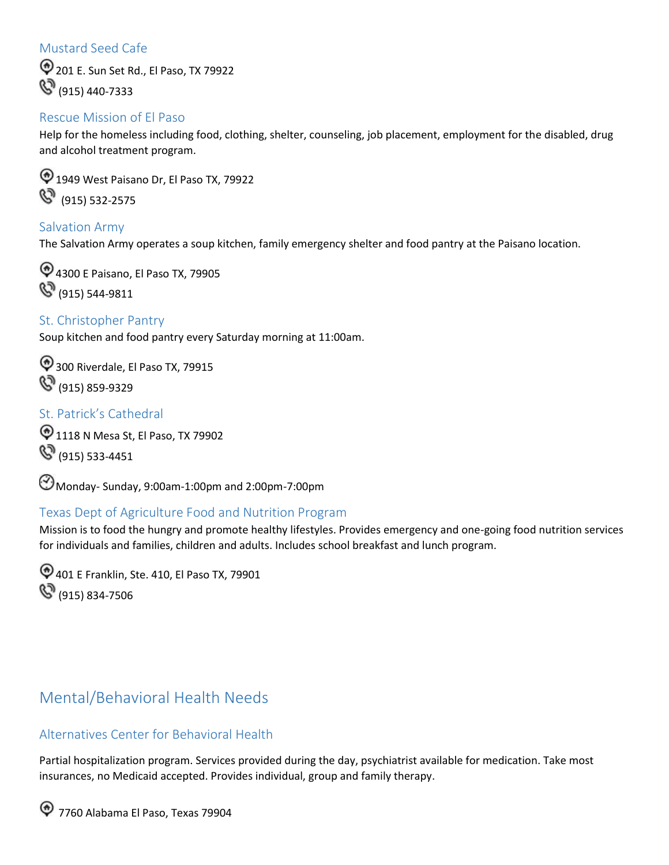#### <span id="page-35-0"></span>Mustard Seed Cafe

 201 E. Sun Set Rd., El Paso, TX 79922  $\mathbb{C}^{(915)}$  (915) 440-7333

#### <span id="page-35-1"></span>Rescue Mission of El Paso

Help for the homeless including food, clothing, shelter, counseling, job placement, employment for the disabled, drug and alcohol treatment program.

 $\bigcirc$  1949 West Paisano Dr, El Paso TX, 79922 (915) 532-2575

#### <span id="page-35-2"></span>Salvation Army

The Salvation Army operates a soup kitchen, family emergency shelter and food pantry at the Paisano location.

4300 E Paisano, El Paso TX, 79905 (915) 544-9811

<span id="page-35-3"></span>St. Christopher Pantry Soup kitchen and food pantry every Saturday morning at 11:00am.

<sup>2</sup> 300 Riverdale, El Paso TX, 79915  $\mathbb{G}_{(915)859-9329}$ 

#### <span id="page-35-4"></span>St. Patrick's Cathedral

1118 N Mesa St, El Paso, TX 79902  $\mathbb{C}^{(915)}$  533-4451

Monday- Sunday, 9:00am-1:00pm and 2:00pm-7:00pm

#### <span id="page-35-5"></span>Texas Dept of Agriculture Food and Nutrition Program

Mission is to food the hungry and promote healthy lifestyles. Provides emergency and one-going food nutrition services for individuals and families, children and adults. Includes school breakfast and lunch program.

401 E Franklin, Ste. 410, El Paso TX, 79901  $\mathbb{S}^{\,}$  (915) 834-7506

## <span id="page-35-6"></span>Mental/Behavioral Health Needs

#### Alternatives Center for Behavioral Health

Partial hospitalization program. Services provided during the day, psychiatrist available for medication. Take most insurances, no Medicaid accepted. Provides individual, group and family therapy.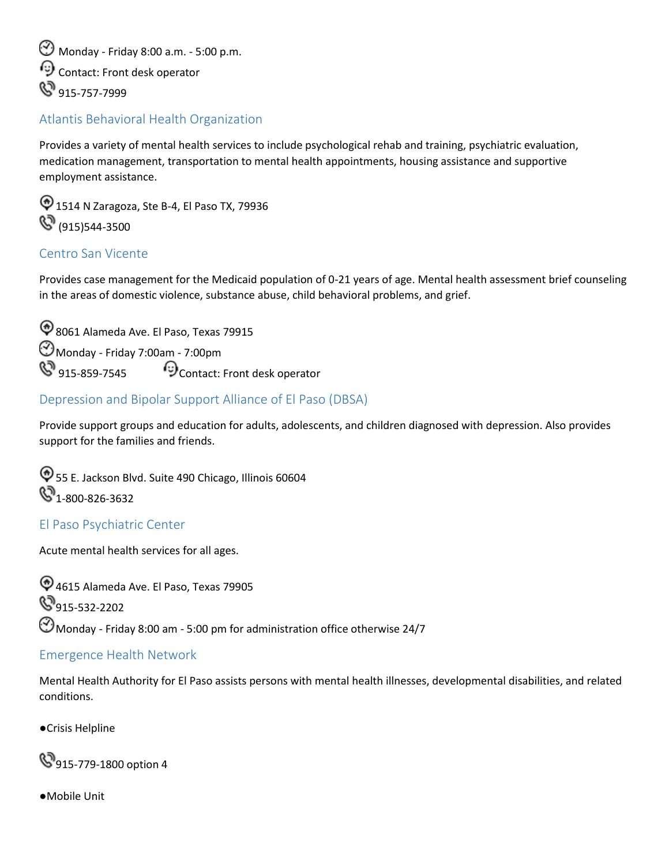Monday - Friday 8:00 a.m. - 5:00 p.m. Contact: Front desk operator **S** 915-757-7999

#### <span id="page-36-0"></span>Atlantis Behavioral Health Organization

Provides a variety of mental health services to include psychological rehab and training, psychiatric evaluation, medication management, transportation to mental health appointments, housing assistance and supportive employment assistance.

 $\textcircled{1514}$  N Zaragoza, Ste B-4, El Paso TX, 79936  $\mathbb{C}^3$  (915)544-3500

#### <span id="page-36-1"></span>Centro San Vicente

Provides case management for the Medicaid population of 0-21 years of age. Mental health assessment brief counseling in the areas of domestic violence, substance abuse, child behavioral problems, and grief.

 915-859-7545 Contact: Front desk operator 8061 Alameda Ave. El Paso, Texas 79915 Monday - Friday 7:00am - 7:00pm

#### <span id="page-36-2"></span>Depression and Bipolar Support Alliance of El Paso (DBSA)

Provide support groups and education for adults, adolescents, and children diagnosed with depression. Also provides support for the families and friends.

55 E. Jackson Blvd. Suite 490 Chicago, Illinois 60604  $\mathbb{C}$ 1-800-826-3632

#### <span id="page-36-3"></span>El Paso Psychiatric Center

Acute mental health services for all ages.

4615 Alameda Ave. El Paso, Texas 79905 **S**915-532-2202  $\bigcirc$  Monday - Friday 8:00 am - 5:00 pm for administration office otherwise 24/7

#### <span id="page-36-4"></span>Emergence Health Network

Mental Health Authority for El Paso assists persons with mental health illnesses, developmental disabilities, and related conditions.

●Crisis Helpline

**915-779-1800 option 4** 

●Mobile Unit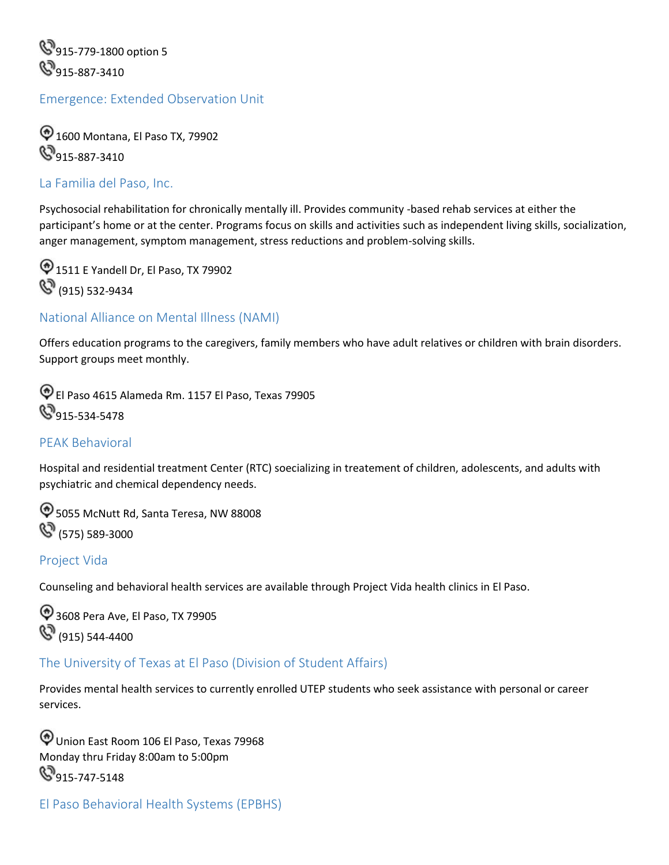**915-779-1800 option 5 9**915-887-3410

#### <span id="page-37-0"></span>Emergence: Extended Observation Unit

 1600 Montana, El Paso TX, 79902 **9**915-887-3410

#### <span id="page-37-1"></span>La Familia del Paso, Inc.

Psychosocial rehabilitation for chronically mentally ill. Provides community -based rehab services at either the participant's home or at the center. Programs focus on skills and activities such as independent living skills, socialization, anger management, symptom management, stress reductions and problem-solving skills.

1511 E Yandell Dr, El Paso, TX 79902 **(S)** (915) 532-9434

#### <span id="page-37-2"></span>National Alliance on Mental Illness (NAMI)

Offers education programs to the caregivers, family members who have adult relatives or children with brain disorders. Support groups meet monthly.

El Paso 4615 Alameda Rm. 1157 El Paso, Texas 79905 **9**915-534-5478

#### <span id="page-37-3"></span>PEAK Behavioral

Hospital and residential treatment Center (RTC) soecializing in treatement of children, adolescents, and adults with psychiatric and chemical dependency needs.

 $\textcircled{5055}$  McNutt Rd, Santa Teresa, NW 88008  $\mathbb{G}$  (575) 589-3000

#### <span id="page-37-4"></span>Project Vida

Counseling and behavioral health services are available through Project Vida health clinics in El Paso.

3608 Pera Ave, El Paso, TX 79905 **(S)** (915) 544-4400

#### <span id="page-37-5"></span>The University of Texas at El Paso (Division of Student Affairs)

 Provides mental health services to currently enrolled UTEP students who seek assistance with personal or career services.

Union East Room 106 El Paso, Texas 79968 Monday thru Friday 8:00am to 5:00pm **9**15-747-5148

```
El Paso Behavioral Health Systems (EPBHS)
```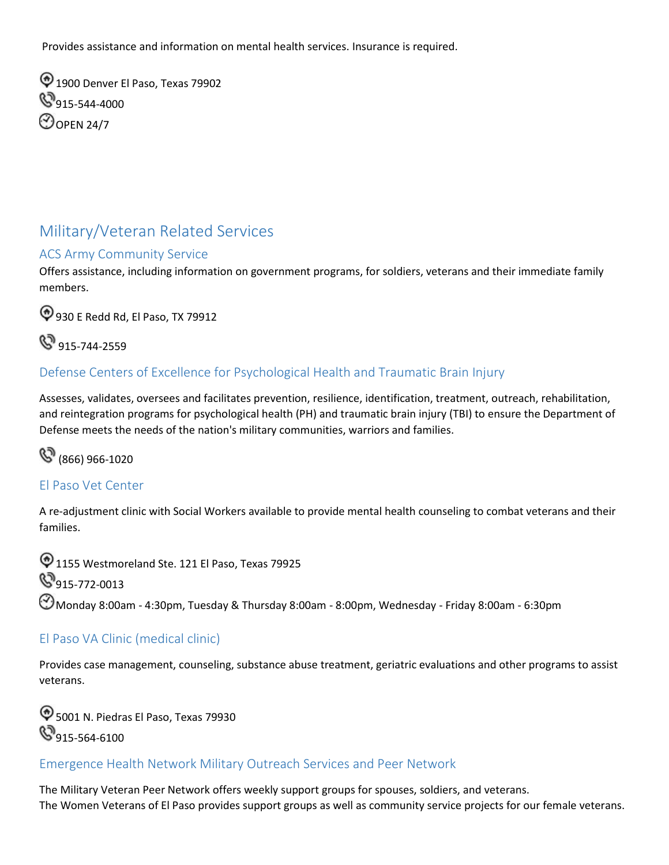Provides assistance and information on mental health services. Insurance is required.

 $\textcircled{1}$  1900 Denver El Paso, Texas 79902  $\mathbb{S}_{915\text{-}544\text{-}4000}$ **O**OPEN 24/7

## <span id="page-38-0"></span>Military/Veteran Related Services

#### <span id="page-38-1"></span>ACS Army Community Service

Offers assistance, including information on government programs, for soldiers, veterans and their immediate family members.

930 E Redd Rd, El Paso, TX 79912

**&** 915-744-2559

#### <span id="page-38-2"></span>Defense Centers of Excellence for Psychological Health and Traumatic Brain Injury

Assesses, validates, oversees and facilitates prevention, resilience, identification, treatment, outreach, rehabilitation, and reintegration programs for psychological health (PH) and traumatic brain injury (TBI) to ensure the Department of Defense meets the needs of the nation's military communities, warriors and families.

(866) 966-1020

#### <span id="page-38-3"></span>El Paso Vet Center

A re-adjustment clinic with Social Workers available to provide mental health counseling to combat veterans and their families.

 $\bigcirc$  1155 Westmoreland Ste. 121 El Paso, Texas 79925 **S**915-772-0013  $\bigodot$ Monday 8:00am - 4:30pm, Tuesday & Thursday 8:00am - 8:00pm, Wednesday - Friday 8:00am - 6:30pm

#### El Paso VA Clinic (medical clinic)

Provides case management, counseling, substance abuse treatment, geriatric evaluations and other programs to assist veterans.

 $\textcircled{ }5001$  N. Piedras El Paso, Texas 79930 **915-564-6100** 

#### <span id="page-38-4"></span>Emergence Health Network Military Outreach Services and Peer Network

The Military Veteran Peer Network offers weekly support groups for spouses, soldiers, and veterans. The Women Veterans of El Paso provides support groups as well as community service projects for our female veterans.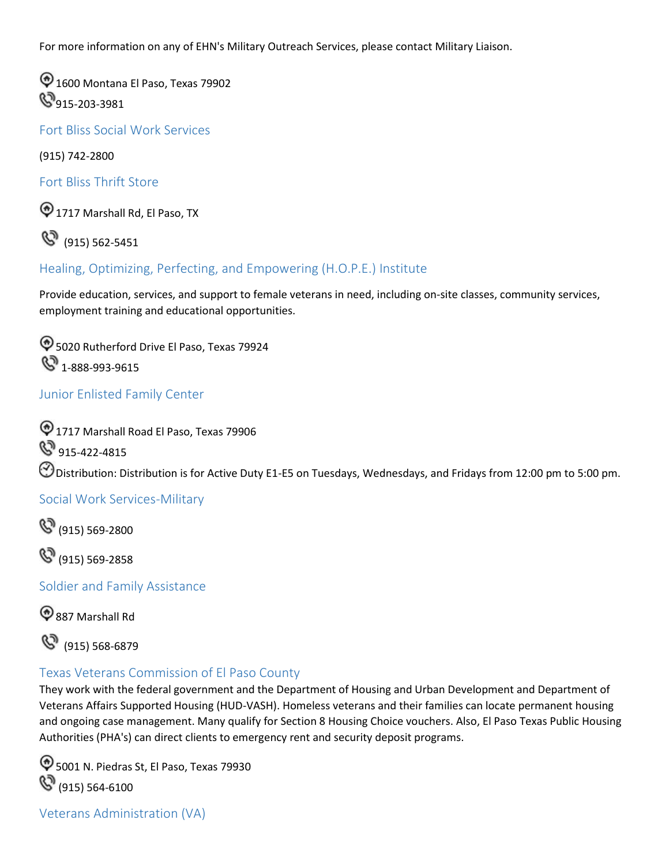For more information on any of EHN's Military Outreach Services, please contact Military Liaison.

1600 Montana El Paso, Texas 79902 **49**915-203-3981

<span id="page-39-0"></span>Fort Bliss Social Work Services

(915) 742-2800

<span id="page-39-1"></span>Fort Bliss Thrift Store

1717 Marshall Rd, El Paso, TX

(915) 562-5451

#### <span id="page-39-2"></span>Healing, Optimizing, Perfecting, and Empowering (H.O.P.E.) Institute

Provide education, services, and support to female veterans in need, including on-site classes, community services, employment training and educational opportunities.

 $\textcircled{1}$  5020 Rutherford Drive El Paso, Texas 79924 **4** 1-888-993-9615

#### <span id="page-39-3"></span>Junior Enlisted Family Center

 1717 Marshall Road El Paso, Texas 79906 Distribution: Distribution is for Active Duty E1-E5 on Tuesdays, Wednesdays, and Fridays from 12:00 pm to 5:00 pm. **S** 915-422-4815

#### <span id="page-39-4"></span>Social Work Services-Military

 $\mathbb{C}^{(915)}$  569-2800

(915) 569-2858

<span id="page-39-5"></span>Soldier and Family Assistance

887 Marshall Rd



#### <span id="page-39-6"></span>Texas Veterans Commission of El Paso County

They work with the federal government and the Department of Housing and Urban Development and Department of Veterans Affairs Supported Housing (HUD-VASH). Homeless veterans and their families can locate permanent housing and ongoing case management. Many qualify for Section 8 Housing Choice vouchers. Also, El Paso Texas Public Housing Authorities (PHA's) can direct clients to emergency rent and security deposit programs.

5001 N. Piedras St, El Paso, Texas 79930  $\mathbb{G}_{(915)}$  564-6100

<span id="page-39-7"></span>Veterans Administration (VA)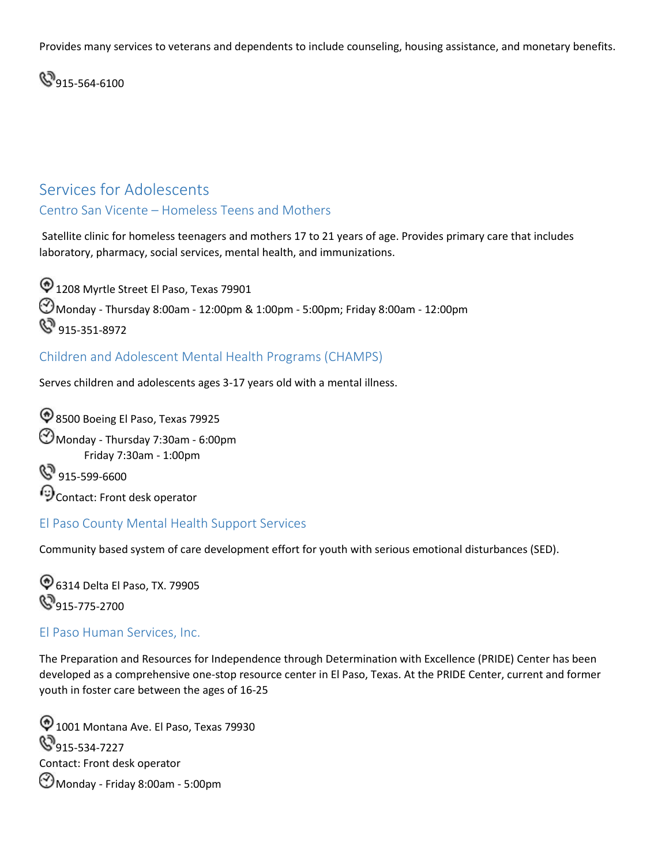Provides many services to veterans and dependents to include counseling, housing assistance, and monetary benefits.

**915-564-6100** 

## <span id="page-40-0"></span>Services for Adolescents

#### <span id="page-40-1"></span>Centro San Vicente – Homeless Teens and Mothers

 Satellite clinic for homeless teenagers and mothers 17 to 21 years of age. Provides primary care that includes laboratory, pharmacy, social services, mental health, and immunizations.

 $\textcircled{1208}$  Myrtle Street El Paso, Texas 79901 Monday - Thursday 8:00am - 12:00pm & 1:00pm - 5:00pm; Friday 8:00am - 12:00pm **S** 915-351-8972

#### <span id="page-40-2"></span>Children and Adolescent Mental Health Programs (CHAMPS)

Serves children and adolescents ages 3-17 years old with a mental illness.

<sup>4</sup>8500 Boeing El Paso, Texas 79925 Monday - Thursday 7:30am - 6:00pm Friday 7:30am - 1:00pm  $\mathbb{S}^9$  915-599-6600

Contact: Front desk operator

#### <span id="page-40-3"></span>El Paso County Mental Health Support Services

Community based system of care development effort for youth with serious emotional disturbances (SED).

6314 Delta El Paso, TX. 79905 **9**915-775-2700

#### <span id="page-40-4"></span>El Paso Human Services, Inc.

The Preparation and Resources for Independence through Determination with Excellence (PRIDE) Center has been developed as a comprehensive one-stop resource center in El Paso, Texas. At the PRIDE Center, current and former youth in foster care between the ages of 16-25

 $\textcircled{1001}$  Montana Ave. El Paso, Texas 79930  $\mathbb{S}_{915\text{-}534\text{-}7227}$ Contact: Front desk operator Monday - Friday 8:00am - 5:00pm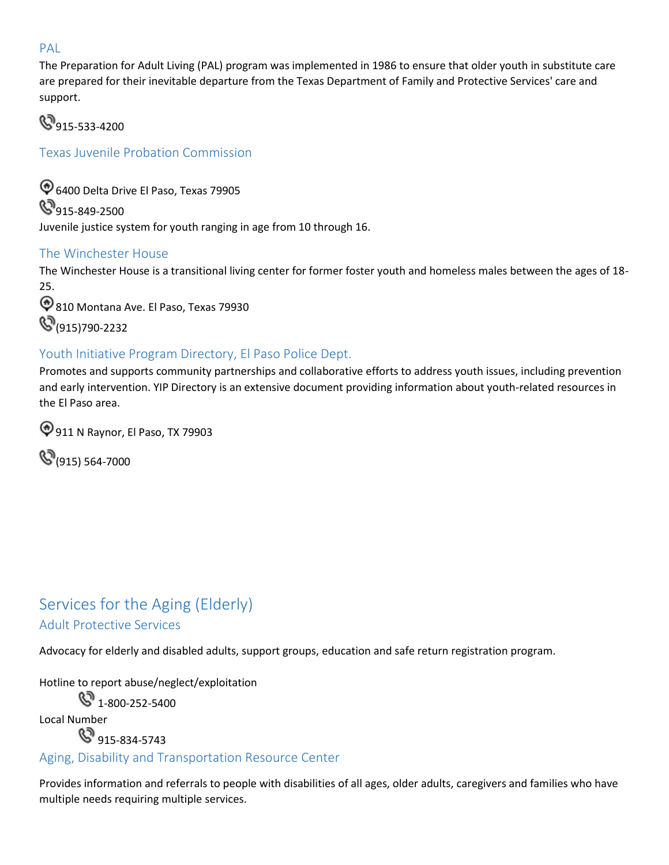#### <span id="page-41-0"></span>PAL

 The Preparation for Adult Living (PAL) program was implemented in 1986 to ensure that older youth in substitute care are prepared for their inevitable departure from the Texas Department of Family and Protective Services' care and support.

**915-533-4200** 

<span id="page-41-1"></span>Texas Juvenile Probation Commission

 Juvenile justice system for youth ranging in age from 10 through 16. 6400 Delta Drive El Paso, Texas 79905  $\mathbb{S}_{915-849-2500}$ 

#### <span id="page-41-2"></span>The Winchester House

The Winchester House is a transitional living center for former foster youth and homeless males between the ages of 18- 25.

<sup><sup>9</sup>810 Montana Ave. El Paso, Texas 79930</sup> **(S** (915)790-2232

## <span id="page-41-3"></span>Youth Initiative Program Directory, El Paso Police Dept.

Promotes and supports community partnerships and collaborative efforts to address youth issues, including prevention and early intervention. YIP Directory is an extensive document providing information about youth-related resources in the El Paso area.

911 N Raynor, El Paso, TX 79903

 $\mathbb{Q}_{(915)}$  564-7000

## <span id="page-41-4"></span> Adult Protective Services Services for the Aging (Elderly)

Advocacy for elderly and disabled adults, support groups, education and safe return registration program.

Hotline to report abuse/neglect/exploitation

 $\mathbb{C}^{3}$  1-800-252-5400

Local Number

**S** 915-834-5743

#### Aging, Disability and Transportation Resource Center

Provides information and referrals to people with disabilities of all ages, older adults, caregivers and families who have multiple needs requiring multiple services.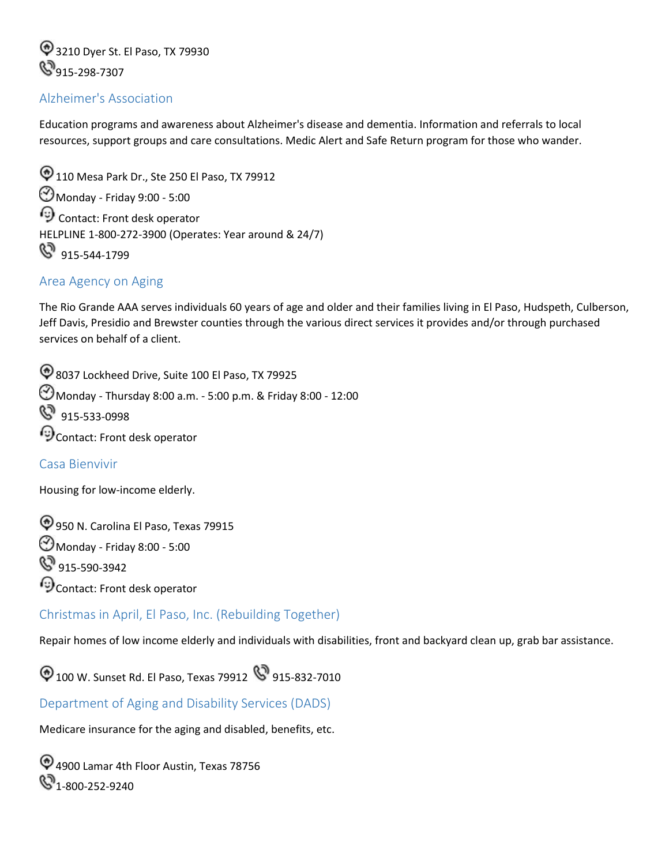3210 Dyer St. El Paso, TX 79930<br>915-298-7307

#### <span id="page-42-0"></span>Alzheimer's Association

Education programs and awareness about Alzheimer's disease and dementia. Information and referrals to local resources, support groups and care consultations. Medic Alert and Safe Return program for those who wander.

 915-544-1799  $\textcircled{110}$  Mesa Park Dr., Ste 250 El Paso, TX 79912 Monday - Friday 9:00 - 5:00 Contact: Front desk operator HELPLINE 1-800-272-3900 (Operates: Year around & 24/7)

#### <span id="page-42-1"></span>Area Agency on Aging

The Rio Grande AAA serves individuals 60 years of age and older and their families living in El Paso, Hudspeth, Culberson, Jeff Davis, Presidio and Brewster counties through the various direct services it provides and/or through purchased services on behalf of a client.

 915-533-0998 8037 Lockheed Drive, Suite 100 El Paso, TX 79925 Monday - Thursday 8:00 a.m. - 5:00 p.m. & Friday 8:00 - 12:00  $\odot$  Contact: Front desk operator

#### <span id="page-42-2"></span>Casa Bienvivir

Housing for low-income elderly.

950 N. Carolina El Paso, Texas 79915 Monday - Friday 8:00 - 5:00 **&** 915-590-3942  $\odot$  Contact: Front desk operator

<span id="page-42-3"></span>Christmas in April, El Paso, Inc. (Rebuilding Together)

Repair homes of low income elderly and individuals with disabilities, front and backyard clean up, grab bar assistance.

 $\bigcirc$  100 W. Sunset Rd. El Paso, Texas 79912  $\bigcirc$  915-832-7010

#### <span id="page-42-4"></span>Department of Aging and Disability Services (DADS)

Medicare insurance for the aging and disabled, benefits, etc.

4900 Lamar 4th Floor Austin, Texas 78756  $\mathbb{S}_{1-800-252-9240}$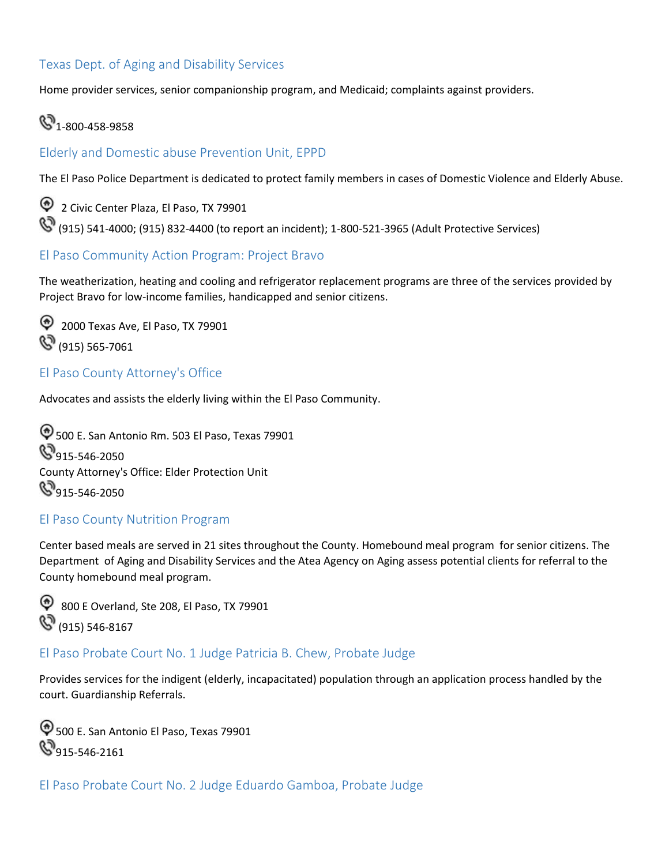#### Texas Dept. of Aging and Disability Services

Home provider services, senior companionship program, and Medicaid; complaints against providers.

## $\mathbb{S}^{3}$  1-800-458-9858

#### <span id="page-43-0"></span>Elderly and Domestic abuse Prevention Unit, EPPD

The El Paso Police Department is dedicated to protect family members in cases of Domestic Violence and Elderly Abuse.

 2 Civic Center Plaza, El Paso, TX 79901 (915) 541-4000; (915) 832-4400 (to report an incident); 1-800-521-3965 (Adult Protective Services)

#### <span id="page-43-1"></span>El Paso Community Action Program: Project Bravo

The weatherization, heating and cooling and refrigerator replacement programs are three of the services provided by Project Bravo for low-income families, handicapped and senior citizens.

 2000 Texas Ave, El Paso, TX 79901 **(S)** (915) 565-7061

#### <span id="page-43-2"></span>El Paso County Attorney's Office

Advocates and assists the elderly living within the El Paso Community.

500 E. San Antonio Rm. 503 El Paso, Texas 79901  $\mathbb{S}_{915\text{-}546\text{-}2050}$ County Attorney's Office: Elder Protection Unit  $\mathbb{S}_{915\text{-}546\text{-}2050}$ 

#### <span id="page-43-3"></span>El Paso County Nutrition Program

Center based meals are served in 21 sites throughout the County. Homebound meal program for senior citizens. The Department of Aging and Disability Services and the Atea Agency on Aging assess potential clients for referral to the County homebound meal program.

 800 E Overland, Ste 208, El Paso, TX 79901 **(S)** (915) 546-8167

#### <span id="page-43-4"></span>El Paso Probate Court No. 1 Judge Patricia B. Chew, Probate Judge

Provides services for the indigent (elderly, incapacitated) population through an application process handled by the court. Guardianship Referrals.

 $\textcircled{500}$  E. San Antonio El Paso, Texas 79901  $\mathbb{S}_{915\text{-}546\text{-}2161}$ 

El Paso Probate Court No. 2 Judge Eduardo Gamboa, Probate Judge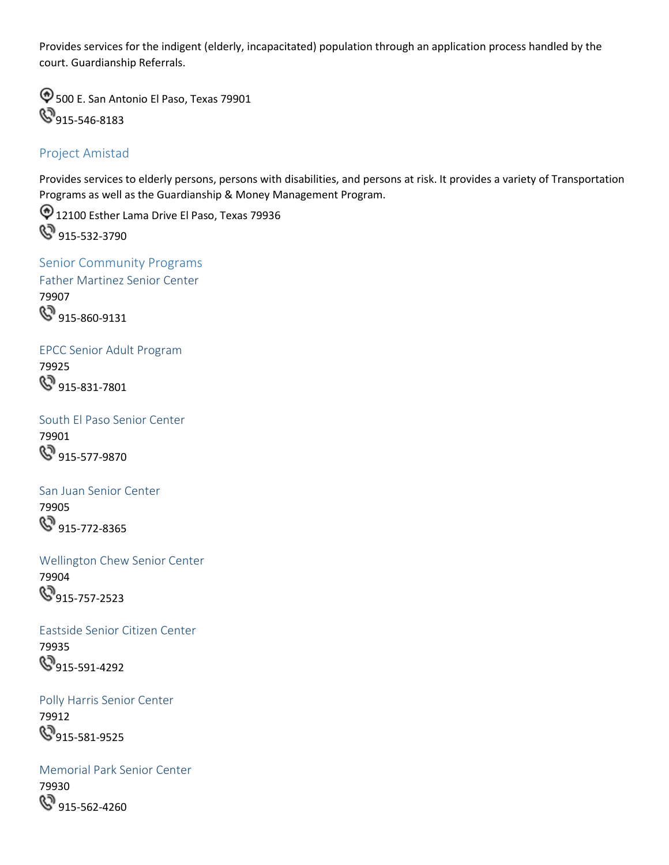Provides services for the indigent (elderly, incapacitated) population through an application process handled by the court. Guardianship Referrals.

 $\textcircled{1}$  500 E. San Antonio El Paso, Texas 79901 **915-546-8183** 

#### Project Amistad

Provides services to elderly persons, persons with disabilities, and persons at risk. It provides a variety of Transportation Programs as well as the Guardianship & Money Management Program.

<sup>1</sup> 12100 Esther Lama Drive El Paso, Texas 79936 **&** 915-532-3790

<span id="page-44-0"></span> Father Martinez Senior Center Senior Community Programs 79907 **S** 915-860-9131

EPCC Senior Adult Program 79925 **&** 915-831-7801

South El Paso Senior Center 79901 **&** 915-577-9870

San Juan Senior Center 79905 **&** 915-772-8365

Wellington Chew Senior Center 79904  $\mathbb{S}_{915-757-2523}$ 

Eastside Senior Citizen Center 79935 **915-591-4292** 

Polly Harris Senior Center 79912  $\mathbb{S}_{915-581-9525}$ 

Memorial Park Senior Center 79930 **&**915-562-4260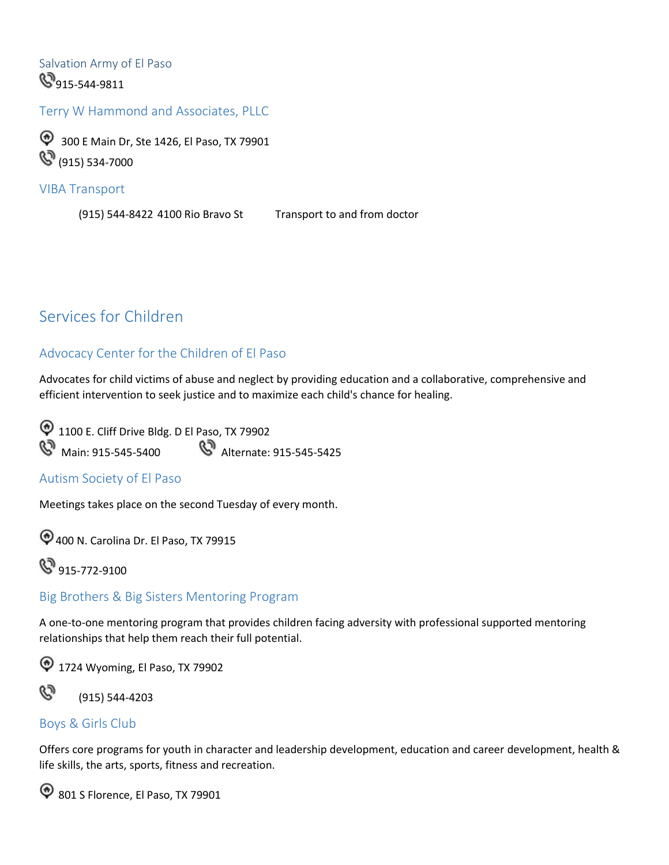Salvation Army of El Paso **8**915-544-9811

<span id="page-45-0"></span>Terry W Hammond and Associates, PLLC

 300 E Main Dr, Ste 1426, El Paso, TX 79901 **(S)** (915) 534-7000

<span id="page-45-1"></span>VIBA Transport

(915) 544-8422 4100 Rio Bravo St Transport to and from doctor

## <span id="page-45-2"></span>Services for Children

#### Advocacy Center for the Children of El Paso

 Advocates for child victims of abuse and neglect by providing education and a collaborative, comprehensive and efficient intervention to seek justice and to maximize each child's chance for healing.

 1100 E. Cliff Drive Bldg. D El Paso, TX 79902 **&** Main: 915-545-5400 **&** Alternate: 915-545-5425

#### <span id="page-45-3"></span>Autism Society of El Paso

Meetings takes place on the second Tuesday of every month.

400 N. Carolina Dr. El Paso, TX 79915

**S** 915-772-9100

#### <span id="page-45-4"></span>Big Brothers & Big Sisters Mentoring Program

 A one-to-one mentoring program that provides children facing adversity with professional supported mentoring relationships that help them reach their full potential.

1724 Wyoming, El Paso, TX 79902



(915) 544-4203

#### <span id="page-45-5"></span>Boys & Girls Club

Offers core programs for youth in character and leadership development, education and career development, health & life skills, the arts, sports, fitness and recreation.

 $\textcircled{9}$  801 S Florence, El Paso, TX 79901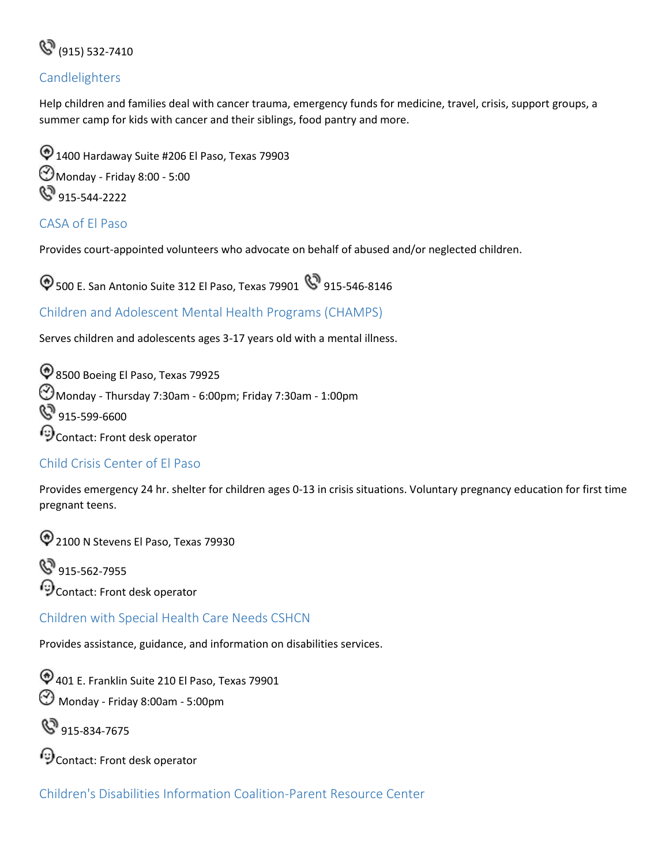

#### <span id="page-46-0"></span>Candlelighters

Help children and families deal with cancer trauma, emergency funds for medicine, travel, crisis, support groups, a summer camp for kids with cancer and their siblings, food pantry and more.

 $\textcircled{1400}$  Hardaway Suite #206 El Paso, Texas 79903 Monday - Friday 8:00 - 5:00 **8**915-544-2222

#### <span id="page-46-1"></span>CASA of El Paso

Provides court-appointed volunteers who advocate on behalf of abused and/or neglected children.

 $\bigcirc$  500 E. San Antonio Suite 312 El Paso, Texas 79901  $\bigcirc$  915-546-8146

<span id="page-46-2"></span>Children and Adolescent Mental Health Programs (CHAMPS)

Serves children and adolescents ages 3-17 years old with a mental illness.

<sup>2</sup>8500 Boeing El Paso, Texas 79925  $\bigodot$ Monday - Thursday 7:30am - 6:00pm; Friday 7:30am - 1:00pm 8 915-599-6600 Contact: Front desk operator

#### <span id="page-46-3"></span>Child Crisis Center of El Paso

 Provides emergency 24 hr. shelter for children ages 0-13 in crisis situations. Voluntary pregnancy education for first time pregnant teens.

<sup>2</sup> 2100 N Stevens El Paso, Texas 79930

**&**915-562-7955  $\odot$  Contact: Front desk operator

<span id="page-46-4"></span>Children with Special Health Care Needs CSHCN

Provides assistance, guidance, and information on disabilities services.

401 E. Franklin Suite 210 El Paso, Texas 79901 Monday - Friday 8:00am - 5:00pm

**&**915-834-7675

Contact: Front desk operator

Children's Disabilities Information Coalition-Parent Resource Center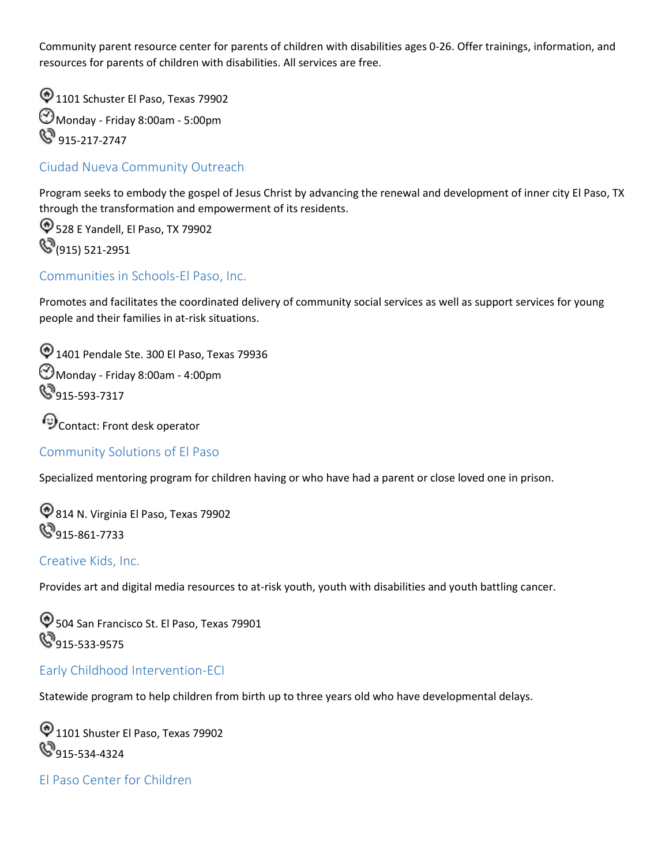Community parent resource center for parents of children with disabilities ages 0-26. Offer trainings, information, and resources for parents of children with disabilities. All services are free.

 $\textcircled{1101}$  Schuster El Paso, Texas 79902 Monday - Friday 8:00am - 5:00pm **S** 915-217-2747

#### <span id="page-47-0"></span>Ciudad Nueva Community Outreach

 Program seeks to embody the gospel of Jesus Christ by advancing the renewal and development of inner city El Paso, TX through the transformation and empowerment of its residents.

528 E Yandell, El Paso, TX 79902 **(S** (915) 521-2951

#### <span id="page-47-1"></span>Communities in Schools-El Paso, Inc.

Promotes and facilitates the coordinated delivery of community social services as well as support services for young people and their families in at-risk situations.

 $\textcircled{1401}$  Pendale Ste. 300 El Paso, Texas 79936 Monday - Friday 8:00am - 4:00pm  $\mathbb{S}_{915\text{-}593\text{-}7317}$ 

Contact: Front desk operator

#### <span id="page-47-2"></span>Community Solutions of El Paso

Specialized mentoring program for children having or who have had a parent or close loved one in prison.

814 N. Virginia El Paso, Texas 79902 **S**915-861-7733

#### <span id="page-47-3"></span>Creative Kids, Inc.

Provides art and digital media resources to at-risk youth, youth with disabilities and youth battling cancer.

504 San Francisco St. El Paso, Texas 79901 **S**915-533-9575

#### <span id="page-47-4"></span>Early Childhood Intervention-ECI

Statewide program to help children from birth up to three years old who have developmental delays.

 $\textcircled{1101}$  Shuster El Paso, Texas 79902 **9**915-534-4324

<span id="page-47-5"></span>El Paso Center for Children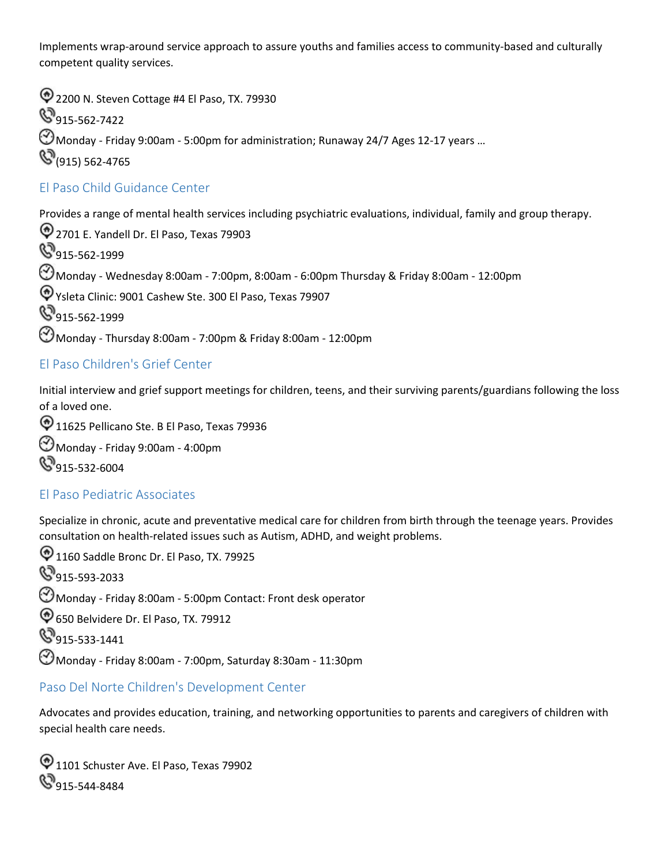Implements wrap-around service approach to assure youths and families access to community-based and culturally competent quality services.

 Monday - Friday 9:00am - 5:00pm for administration; Runaway 24/7 Ages 12-17 years … <sup>2</sup> 2200 N. Steven Cottage #4 El Paso, TX. 79930 **S**915-562-7422  $\mathbb{S}_{(915)}$  562-4765

#### <span id="page-48-0"></span>El Paso Child Guidance Center

Provides a range of mental health services including psychiatric evaluations, individual, family and group therapy.

2701 E. Yandell Dr. El Paso, Texas 79903 8915-562-1999  $\bigodot$ Monday - Wednesday 8:00am - 7:00pm, 8:00am - 6:00pm Thursday & Friday 8:00am - 12:00pm Ysleta Clinic: 9001 Cashew Ste. 300 El Paso, Texas 79907 **S** 915-562-1999  $\bigodot$ Monday - Thursday 8:00am - 7:00pm & Friday 8:00am - 12:00pm

#### <span id="page-48-1"></span>El Paso Children's Grief Center

Initial interview and grief support meetings for children, teens, and their surviving parents/guardians following the loss of a loved one.

<sup>1</sup> 11625 Pellicano Ste. B El Paso, Texas 79936 Monday - Friday 9:00am - 4:00pm **9**915-532-6004

#### <span id="page-48-2"></span>El Paso Pediatric Associates

Specialize in chronic, acute and preventative medical care for children from birth through the teenage years. Provides consultation on health-related issues such as Autism, ADHD, and weight problems.

 $\textcircled{1160}$  Saddle Bronc Dr. El Paso, TX. 79925 **S**915-593-2033  $\bigodot$  Monday - Friday 8:00am - 5:00pm Contact: Front desk operator 650 Belvidere Dr. El Paso, TX. 79912 **8**915-533-1441  $\bigodot$ Monday - Friday 8:00am - 7:00pm, Saturday 8:30am - 11:30pm

#### <span id="page-48-3"></span>Paso Del Norte Children's Development Center

Advocates and provides education, training, and networking opportunities to parents and caregivers of children with special health care needs.

 $\textcircled{1101}$  Schuster Ave. El Paso, Texas 79902 **915-544-8484**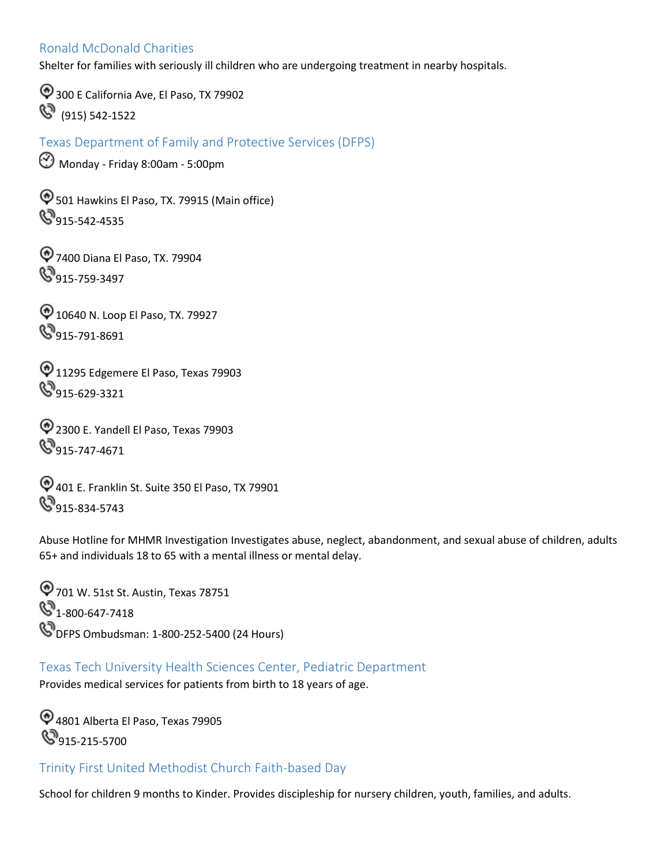#### <span id="page-49-0"></span>Ronald McDonald Charities

Shelter for families with seriously ill children who are undergoing treatment in nearby hospitals.

300 E California Ave, El Paso, TX 79902 (915) 542-1522

<span id="page-49-1"></span>Texas Department of Family and Protective Services (DFPS)

Monday - Friday 8:00am - 5:00pm

 501 Hawkins El Paso, TX. 79915 (Main office)  $\mathbb{S}_{915\text{-}542\text{-}4535}$ 

7400 Diana El Paso, TX. 79904 **9**915-759-3497

10640 N. Loop El Paso, TX. 79927 8915-791-8691

 $\textcircled{11295 Edgemere El Paso, Texas 79903}$  $\mathbb{S}_{915-629-3321}$ 

2300 E. Yandell El Paso, Texas 79903 **S**915-747-4671

401 E. Franklin St. Suite 350 El Paso, TX 79901  $\mathbb{S}_{915-834-5743}$ 

Abuse Hotline for MHMR Investigation Investigates abuse, neglect, abandonment, and sexual abuse of children, adults 65+ and individuals 18 to 65 with a mental illness or mental delay.

701 W. 51st St. Austin, Texas 78751  $\mathcal{S}_{1-800-647-7418}$ **W** DFPS Ombudsman: 1-800-252-5400 (24 Hours)

 Texas Tech University Health Sciences Center, Pediatric Department Provides medical services for patients from birth to 18 years of age.

4801 Alberta El Paso, Texas 79905 **915-215-5700** 

<span id="page-49-2"></span>Trinity First United Methodist Church Faith-based Day

School for children 9 months to Kinder. Provides discipleship for nursery children, youth, families, and adults.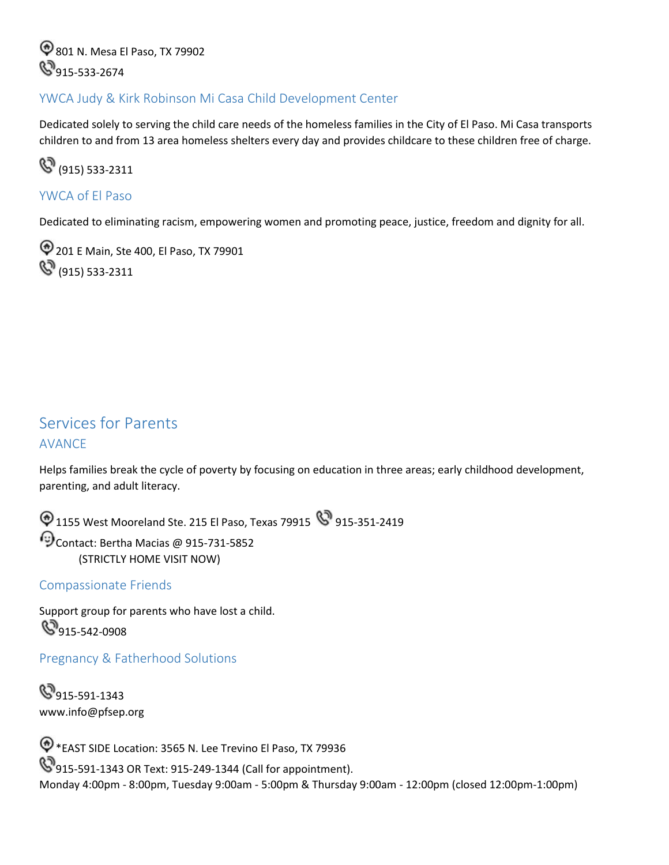801 N. Mesa El Paso, TX 79902 **915-533-2674** 

#### <span id="page-50-0"></span>YWCA Judy & Kirk Robinson Mi Casa Child Development Center

Dedicated solely to serving the child care needs of the homeless families in the City of El Paso. Mi Casa transports children to and from 13 area homeless shelters every day and provides childcare to these children free of charge.

(915) 533-2311

#### <span id="page-50-1"></span>YWCA of El Paso

Dedicated to eliminating racism, empowering women and promoting peace, justice, freedom and dignity for all.

201 E Main, Ste 400, El Paso, TX 79901  $\mathbb{Q}^{\!\!\!3}$  (915) 533-2311

## <span id="page-50-2"></span>Services for Parents AVANCE

Helps families break the cycle of poverty by focusing on education in three areas; early childhood development, parenting, and adult literacy.

 $\bigcirc$  1155 West Mooreland Ste. 215 El Paso, Texas 79915  $\bigcirc$  915-351-2419 Contact: Bertha Macias @ 915-731-5852 (STRICTLY HOME VISIT NOW)

#### <span id="page-50-3"></span>Compassionate Friends

Support group for parents who have lost a child.  $\mathbb{S}_{915-542-0908}$ 

<span id="page-50-4"></span>Pregnancy & Fatherhood Solutions

**9**915-591-1343 <www.info@pfsep.org>

 \*EAST SIDE Location: 3565 N. Lee Trevino El Paso, TX 79936 **915-591-1343 OR Text: 915-249-1344 (Call for appointment).** Monday 4:00pm - 8:00pm, Tuesday 9:00am - 5:00pm & Thursday 9:00am - 12:00pm (closed 12:00pm-1:00pm)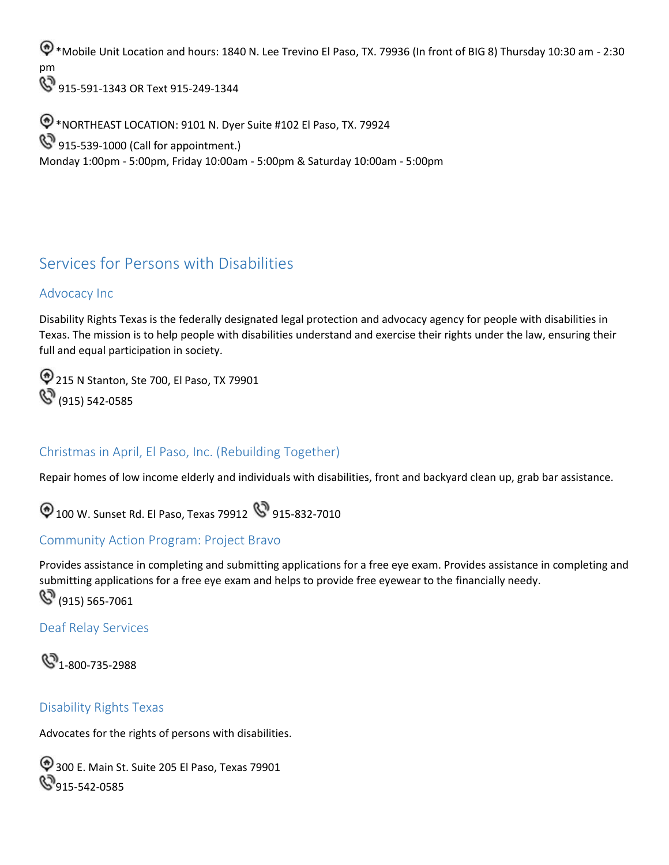\*Mobile Unit Location and hours: 1840 N. Lee Trevino El Paso, TX. 79936 (In front of BIG 8) Thursday 10:30 am - 2:30 pm

**915-591-1343 OR Text 915-249-1344** 

\*NORTHEAST LOCATION: 9101 N. Dyer Suite #102 El Paso, TX. 79924 **915-539-1000 (Call for appointment.)** Monday 1:00pm - 5:00pm, Friday 10:00am - 5:00pm & Saturday 10:00am - 5:00pm

## <span id="page-51-0"></span>Services for Persons with Disabilities

#### <span id="page-51-1"></span>Advocacy Inc

Disability Rights Texas is the federally designated legal protection and advocacy agency for people with disabilities in Texas. The mission is to help people with disabilities understand and exercise their rights under the law, ensuring their full and equal participation in society.

215 N Stanton, Ste 700, El Paso, TX 79901  $\mathbb{S}^3$  (915) 542-0585

#### <span id="page-51-2"></span>Christmas in April, El Paso, Inc. (Rebuilding Together)

Repair homes of low income elderly and individuals with disabilities, front and backyard clean up, grab bar assistance.

 $\bigcirc$  100 W. Sunset Rd. El Paso, Texas 79912  $\bigcirc$  915-832-7010

#### <span id="page-51-3"></span>Community Action Program: Project Bravo

Provides assistance in completing and submitting applications for a free eye exam. Provides assistance in completing and submitting applications for a free eye exam and helps to provide free eyewear to the financially needy.  $\mathbb{C}^{(915)}$  565-7061

#### <span id="page-51-4"></span>Deaf Relay Services



#### <span id="page-51-5"></span>Disability Rights Texas

Advocates for the rights of persons with disabilities.

300 E. Main St. Suite 205 El Paso, Texas 79901  $\mathbb{S}_{915\text{-}542\text{-}0585}$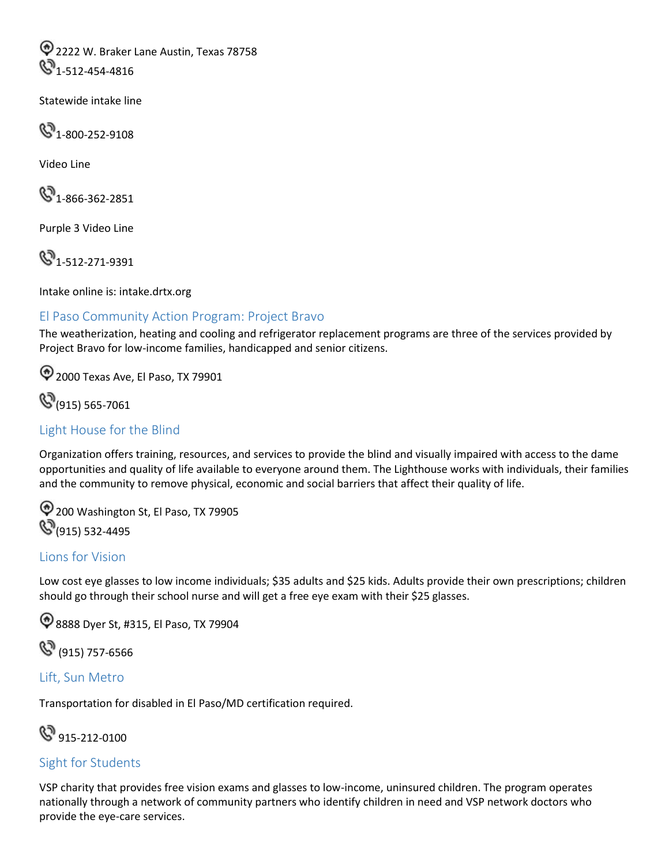2222 W. Braker Lane Austin, Texas 78758  $\bigcirc$ <sub>1-512-454-4816</sub>

Statewide intake line

 $\mathbb{C}^{3}$ 1-800-252-9108

Video Line

 $\mathbb{S}$ 1-866-362-2851

Purple 3 Video Line

**4**1-512-271-9391

Intake online is: [intake.drtx.org](https://intake.drtx.org)

#### <span id="page-52-0"></span>El Paso Community Action Program: Project Bravo

The weatherization, heating and cooling and refrigerator replacement programs are three of the services provided by Project Bravo for low-income families, handicapped and senior citizens.

2000 Texas Ave, El Paso, TX 79901

**(S**(915) 565-7061

#### <span id="page-52-1"></span>Light House for the Blind

Organization offers training, resources, and services to provide the blind and visually impaired with access to the dame opportunities and quality of life available to everyone around them. The Lighthouse works with individuals, their families and the community to remove physical, economic and social barriers that affect their quality of life.

200 Washington St, El Paso, TX 79905 **(S**(915) 532-4495

#### <span id="page-52-2"></span>Lions for Vision

Low cost eye glasses to low income individuals; \$35 adults and \$25 kids. Adults provide their own prescriptions; children should go through their school nurse and will get a free eye exam with their \$25 glasses.

**1**8888 Dyer St, #315, El Paso, TX 79904

(915) 757-6566

#### <span id="page-52-3"></span>Lift, Sun Metro

Transportation for disabled in El Paso/MD certification required.

**S** 915-212-0100

#### <span id="page-52-4"></span>Sight for Students

 VSP charity that provides free vision exams and glasses to low-income, uninsured children. The program operates nationally through a network of community partners who identify children in need and VSP network doctors who provide the eye-care services.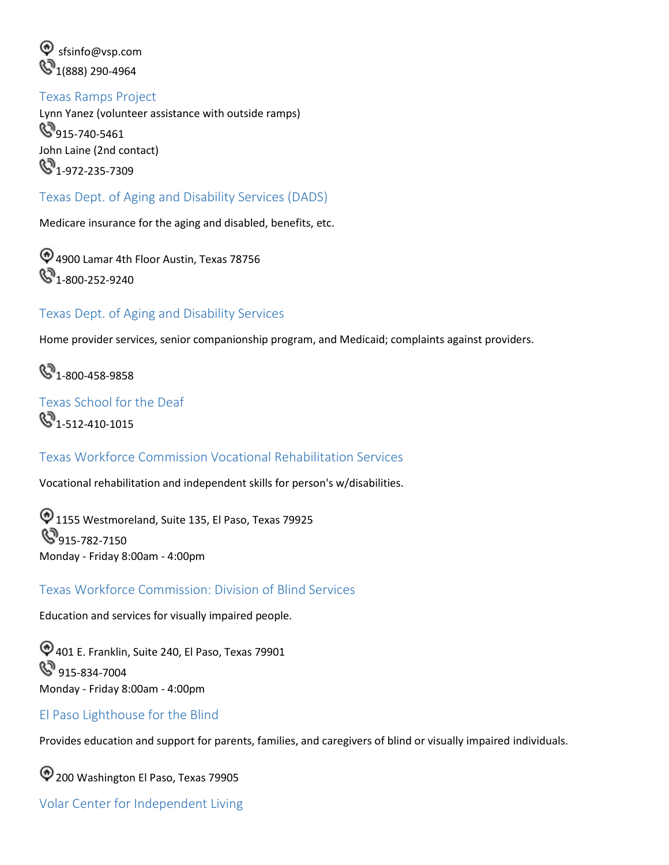$\textcircled{e}$  sfsinfo@vsp.com  $\mathbb{Q}_{1(888)290\text{-}4964}$ 

<span id="page-53-0"></span> Texas Ramps Project Lynn Yanez (volunteer assistance with outside ramps) **9**15-740-5461 John Laine (2nd contact)  $\mathbb{C}^3$ <sub>1-972-235-7309</sub>

#### <span id="page-53-1"></span>Texas Dept. of Aging and Disability Services (DADS)

Medicare insurance for the aging and disabled, benefits, etc.

4900 Lamar 4th Floor Austin, Texas 78756  $\mathbb{C}_{1-800-252-9240}$ 

#### Texas Dept. of Aging and Disability Services

Home provider services, senior companionship program, and Medicaid; complaints against providers.

**43** 1-800-458-9858

<span id="page-53-2"></span>Texas School for the Deaf  $\mathbb{C}_{1-512-410-1015}$ 

#### Texas Workforce Commission Vocational Rehabilitation Services

Vocational rehabilitation and independent skills for person's w/disabilities.

 $\textcircled{1155}$  Westmoreland, Suite 135, El Paso, Texas 79925 **9**915-782-7150 Monday - Friday 8:00am - 4:00pm

Texas Workforce Commission: Division of Blind Services

Education and services for visually impaired people.

401 E. Franklin, Suite 240, El Paso, Texas 79901  $\mathbb{S}^3$  915-834-7004 Monday - Friday 8:00am - 4:00pm

#### <span id="page-53-3"></span>El Paso Lighthouse for the Blind

Provides education and support for parents, families, and caregivers of blind or visually impaired individuals.

<sup>2</sup> 200 Washington El Paso, Texas 79905

<span id="page-53-4"></span>Volar Center for Independent Living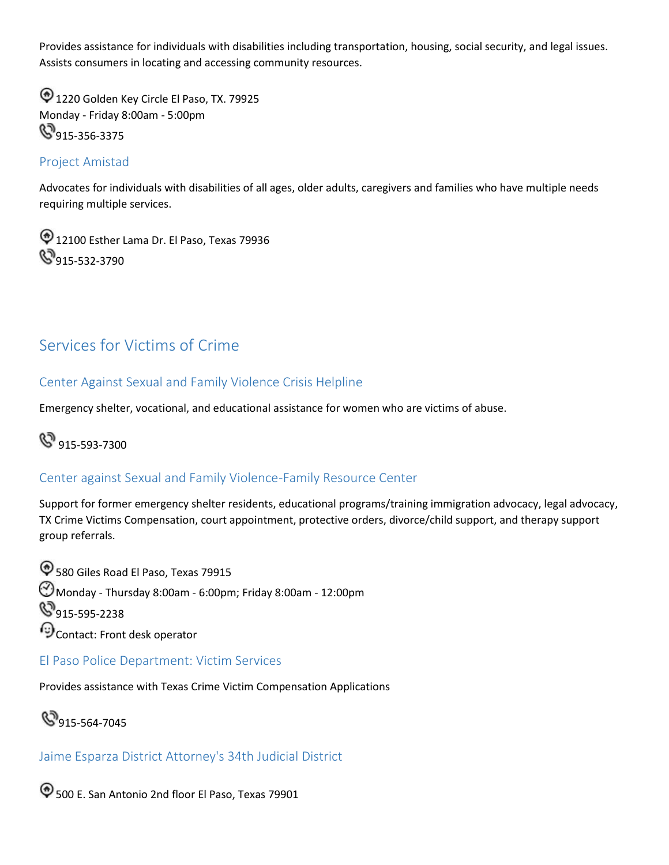Provides assistance for individuals with disabilities including transportation, housing, social security, and legal issues. Assists consumers in locating and accessing community resources.

<sup>1</sup> 1220 Golden Key Circle El Paso, TX. 79925 Monday - Friday 8:00am - 5:00pm **8**915-356-3375

#### <span id="page-54-0"></span>Project Amistad

Advocates for individuals with disabilities of all ages, older adults, caregivers and families who have multiple needs requiring multiple services.

<sup>1</sup> 12100 Esther Lama Dr. El Paso, Texas 79936  $\mathbb{S}_{915\text{-}532\text{-}3790}$ 

## <span id="page-54-1"></span>Services for Victims of Crime

#### Center Against Sexual and Family Violence Crisis Helpline

Emergency shelter, vocational, and educational assistance for women who are victims of abuse.

## **&** 915-593-7300

#### Center against Sexual and Family Violence-Family Resource Center

Support for former emergency shelter residents, educational programs/training immigration advocacy, legal advocacy, TX Crime Victims Compensation, court appointment, protective orders, divorce/child support, and therapy support group referrals.

 $\textcircled{580}$  Giles Road El Paso, Texas 79915  $\bigodot$ Monday - Thursday 8:00am - 6:00pm; Friday 8:00am - 12:00pm **S**915-595-2238  $\Theta$ Contact: Front desk operator

<span id="page-54-2"></span>El Paso Police Department: Victim Services

Provides assistance with Texas Crime Victim Compensation Applications

**915-564-7045** 

Jaime Esparza District Attorney's 34th Judicial District

 $\textcircled{1}$  500 E. San Antonio 2nd floor El Paso, Texas 79901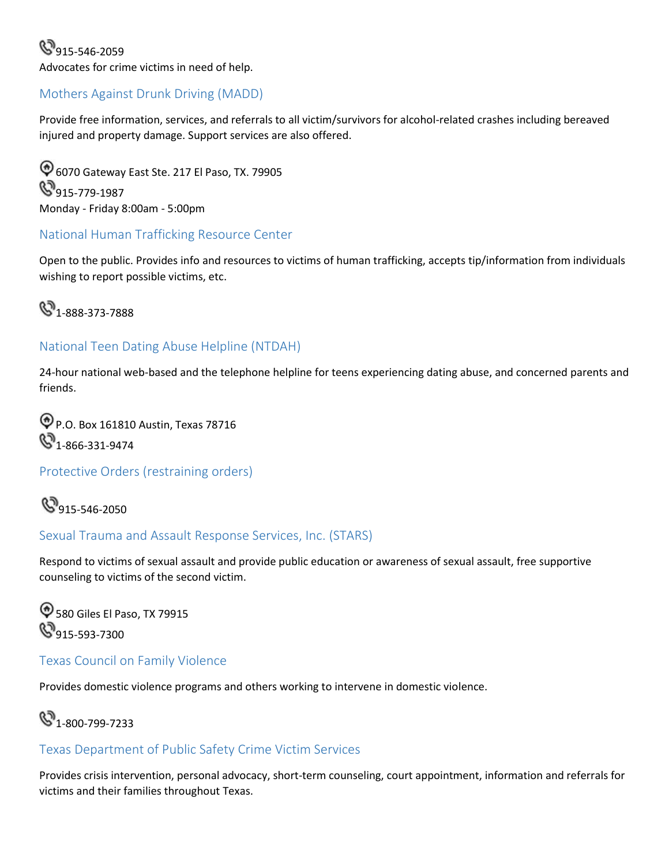#### **915-546-2059** Advocates for crime victims in need of help.

#### <span id="page-55-0"></span>Mothers Against Drunk Driving (MADD)

Provide free information, services, and referrals to all victim/survivors for alcohol-related crashes including bereaved injured and property damage. Support services are also offered.

6070 Gateway East Ste. 217 El Paso, TX. 79905 **915-779-1987** Monday - Friday 8:00am - 5:00pm

#### <span id="page-55-1"></span>National Human Trafficking Resource Center

Open to the public. Provides info and resources to victims of human trafficking, accepts tip/information from individuals wishing to report possible victims, etc.



#### National Teen Dating Abuse Helpline (NTDAH)

24-hour national web-based and the telephone helpline for teens experiencing dating abuse, and concerned parents and friends.

P.O. Box 161810 Austin, Texas 78716  $\mathbb{S}_{1-866-331-9474}$ 

#### <span id="page-55-2"></span>Protective Orders (restraining orders)

**915-546-2050** 

#### <span id="page-55-3"></span>Sexual Trauma and Assault Response Services, Inc. (STARS)

Respond to victims of sexual assault and provide public education or awareness of sexual assault, free supportive counseling to victims of the second victim.

 580 Giles El Paso, TX 79915  $\mathbb{S}_{915-593-7300}$ 

#### <span id="page-55-4"></span>Texas Council on Family Violence

Provides domestic violence programs and others working to intervene in domestic violence.

**4**<sup>1</sup>-800-799-7233

#### <span id="page-55-5"></span>Texas Department of Public Safety Crime Victim Services

Provides crisis intervention, personal advocacy, short-term counseling, court appointment, information and referrals for victims and their families throughout Texas.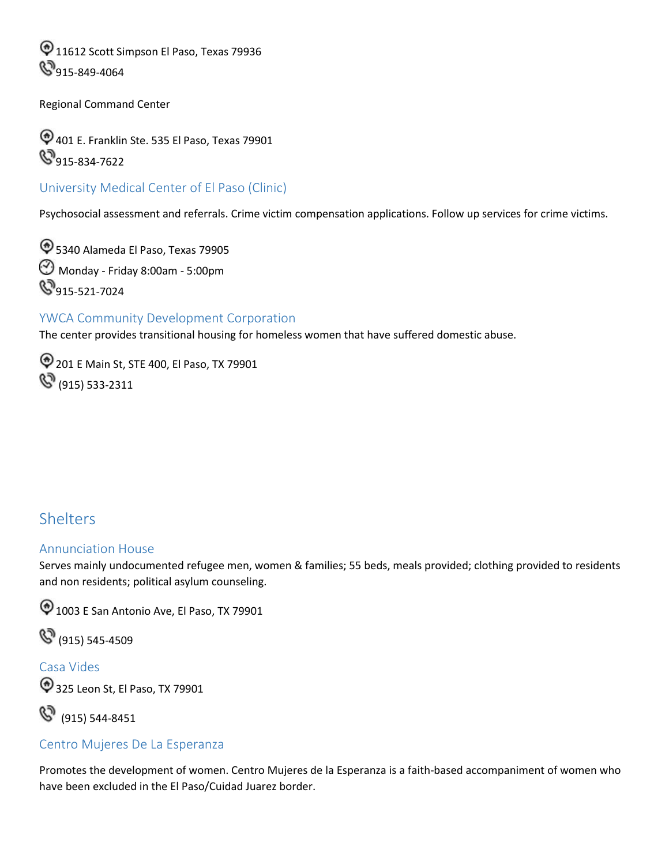$\textcircled{11612}$  Scott Simpson El Paso, Texas 79936 **915-849-4064** 

Regional Command Center

401 E. Franklin Ste. 535 El Paso, Texas 79901 **915-834-7622** 

<span id="page-56-0"></span>University Medical Center of El Paso (Clinic)

Psychosocial assessment and referrals. Crime victim compensation applications. Follow up services for crime victims.

5340 Alameda El Paso, Texas 79905 Monday - Friday 8:00am - 5:00pm **915-521-7024** 

#### <span id="page-56-1"></span>YWCA Community Development Corporation

The center provides transitional housing for homeless women that have suffered domestic abuse.

 201 E Main St, STE 400, El Paso, TX 79901  $\mathbb{S}^3$  (915) 533-2311

## <span id="page-56-2"></span>**Shelters**

#### <span id="page-56-3"></span>Annunciation House

 Serves mainly undocumented refugee men, women & families; 55 beds, meals provided; clothing provided to residents and non residents; political asylum counseling.

 $\textcircled{1003}$  E San Antonio Ave, El Paso, TX 79901

(915) 545-4509

<span id="page-56-4"></span>Casa Vides 325 Leon St, El Paso, TX 79901

(915) 544-8451

#### <span id="page-56-5"></span>Centro Mujeres De La Esperanza

 Promotes the development of women. Centro Mujeres de la Esperanza is a faith-based accompaniment of women who have been excluded in the El Paso/Cuidad Juarez border.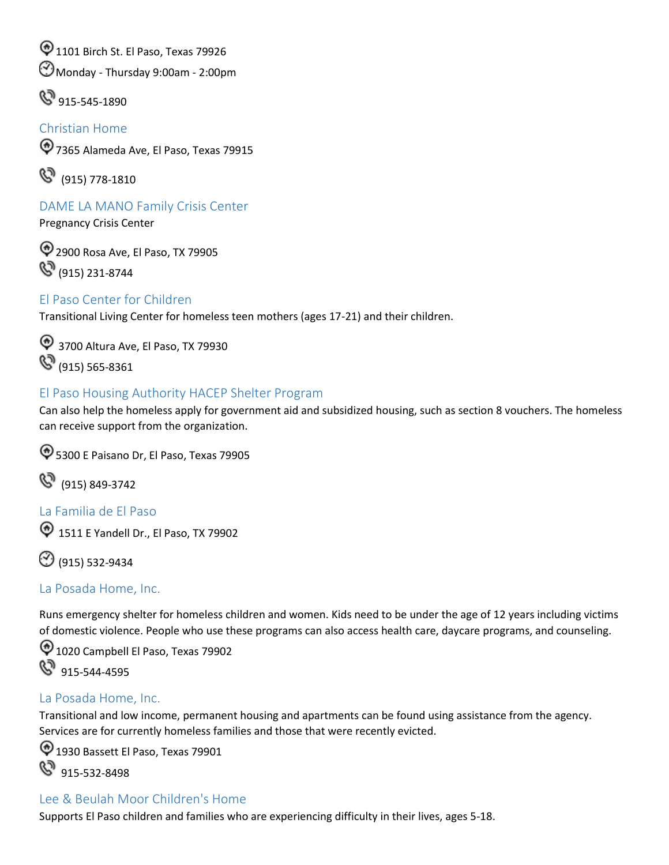$\textcircled{1101}$  Birch St. El Paso, Texas 79926

Monday - Thursday 9:00am - 2:00pm

 $\mathbb{S}^3$  915-545-1890

#### <span id="page-57-0"></span>Christian Home

7365 Alameda Ave, El Paso, Texas 79915

(915) 778-1810

<span id="page-57-1"></span>DAME LA MANO Family Crisis Center

Pregnancy Crisis Center

2900 Rosa Ave, El Paso, TX 79905 **(S)** (915) 231-8744

#### <span id="page-57-2"></span>El Paso Center for Children

Transitional Living Center for homeless teen mothers (ages 17-21) and their children.

<sup>4</sup> 3700 Altura Ave, El Paso, TX 79930 (915) 565-8361

#### <span id="page-57-3"></span>El Paso Housing Authority HACEP Shelter Program

 Can also help the homeless apply for government aid and subsidized housing, such as section 8 vouchers. The homeless can receive support from the organization.

5300 E Paisano Dr, El Paso, Texas 79905

(915) 849-3742

<span id="page-57-4"></span>La Familia de El Paso

<sup>1</sup> 1511 E Yandell Dr., El Paso, TX 79902

(915) 532-9434

#### <span id="page-57-5"></span>La Posada Home, Inc.

Runs emergency shelter for homeless children and women. Kids need to be under the age of 12 years including victims of domestic violence. People who use these programs can also access health care, daycare programs, and counseling.

 $\bigcirc$  1020 Campbell El Paso, Texas 79902  $\mathbb{S}^3$  915-544-4595

#### <span id="page-57-6"></span>La Posada Home, Inc.

Transitional and low income, permanent housing and apartments can be found using assistance from the agency. Services are for currently homeless families and those that were recently evicted.

 $\textcircled{1}$  1930 Bassett El Paso, Texas 79901  $\mathbb{S}^3$  915-532-8498

#### <span id="page-57-7"></span>Lee & Beulah Moor Children's Home

Supports El Paso children and families who are experiencing difficulty in their lives, ages 5-18.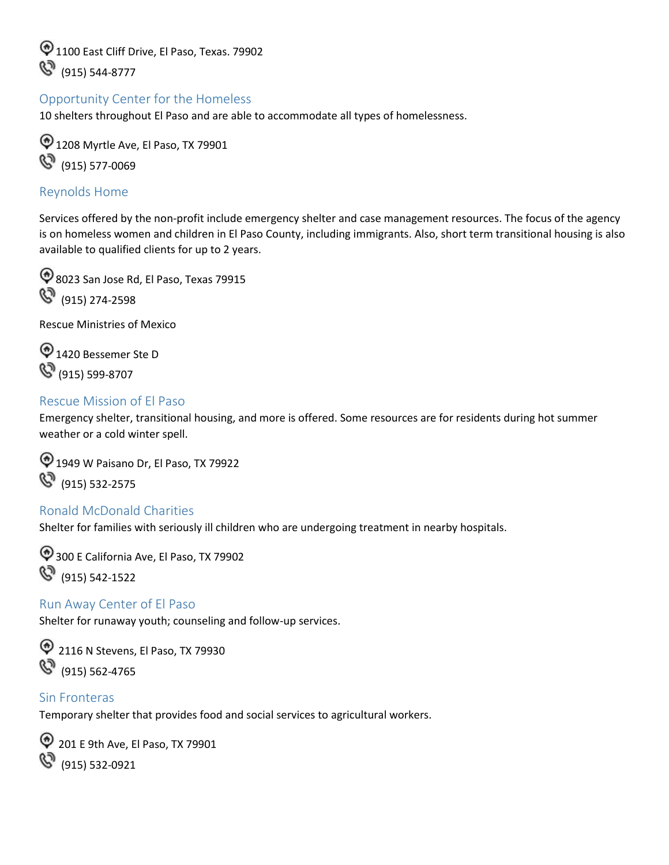$\textcircled{1100}$  East Cliff Drive, El Paso, Texas, 79902 (915) 544-8777

#### <span id="page-58-0"></span>Opportunity Center for the Homeless

10 shelters throughout El Paso and are able to accommodate all types of homelessness.

<sup>1</sup> 1208 Myrtle Ave, El Paso, TX 79901 (915) 577-0069

#### <span id="page-58-1"></span>Reynolds Home

 available to qualified clients for up to 2 years. Services offered by the non-profit include emergency shelter and case management resources. The focus of the agency is on homeless women and children in El Paso County, including immigrants. Also, short term transitional housing is also

<sup>4</sup>8023 San Jose Rd, El Paso, Texas 79915  $\mathbb{C}^3$  (915) 274-2598

Rescue Ministries of Mexico

<sup>1420</sup> Bessemer Ste D (915) 599-8707

#### <span id="page-58-2"></span>Rescue Mission of El Paso

Emergency shelter, transitional housing, and more is offered. Some resources are for residents during hot summer weather or a cold winter spell.

1949 W Paisano Dr, El Paso, TX 79922 (915) 532-2575

#### <span id="page-58-3"></span>Ronald McDonald Charities

Shelter for families with seriously ill children who are undergoing treatment in nearby hospitals.

300 E California Ave, El Paso, TX 79902 (915) 542-1522

#### <span id="page-58-4"></span>Run Away Center of El Paso

Shelter for runaway youth; counseling and follow-up services.

<sup>2</sup> 2116 N Stevens, El Paso, TX 79930 (915) 562-4765

#### <span id="page-58-5"></span>Sin Fronteras

Temporary shelter that provides food and social services to agricultural workers.

<sup>2</sup> 201 E 9th Ave, El Paso, TX 79901 **(S)** (915) 532-0921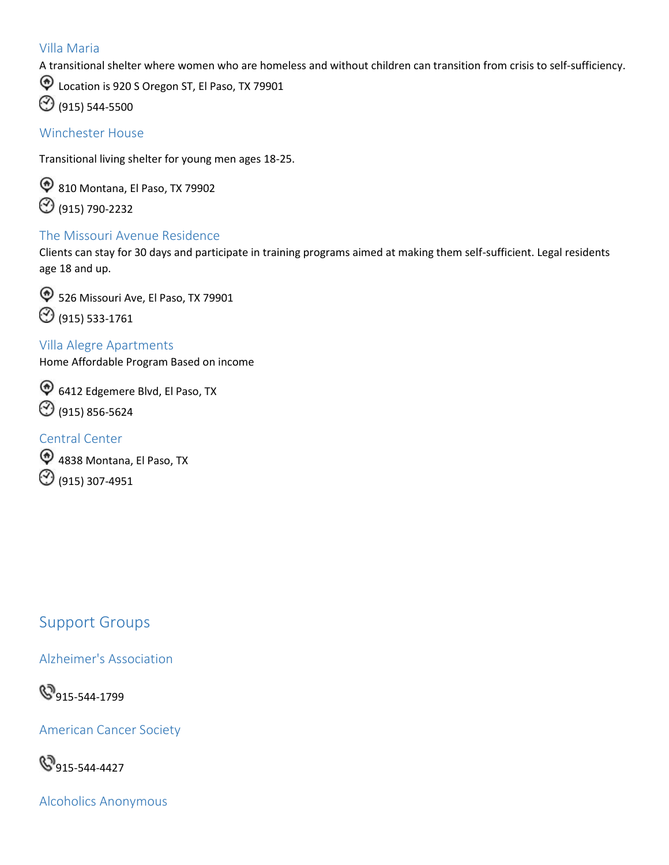#### <span id="page-59-0"></span>Villa Maria

A transitional shelter where women who are homeless and without children can transition from crisis to self-sufficiency.

Cocation is 920 S Oregon ST, El Paso, TX 79901

(915) 544-5500

#### <span id="page-59-1"></span>Winchester House

Transitional living shelter for young men ages 18-25.

<sup>9</sup> 810 Montana, El Paso, TX 79902 (915) 790-2232

#### <span id="page-59-2"></span>The Missouri Avenue Residence

Clients can stay for 30 days and participate in training programs aimed at making them self-sufficient. Legal residents age 18 and up.



#### <span id="page-59-3"></span>Villa Alegre Apartments

Home Affordable Program Based on income

6412 Edgemere Blvd, El Paso, TX  $\odot$  (915) 856-5624

#### <span id="page-59-4"></span>Central Center

 $\textcircled{4838}$  Montana, El Paso, TX (915) 307-4951

## <span id="page-59-5"></span>Support Groups

Alzheimer's Association

89915-544-1799

American Cancer Society

**915-544-4427** 

Alcoholics Anonymous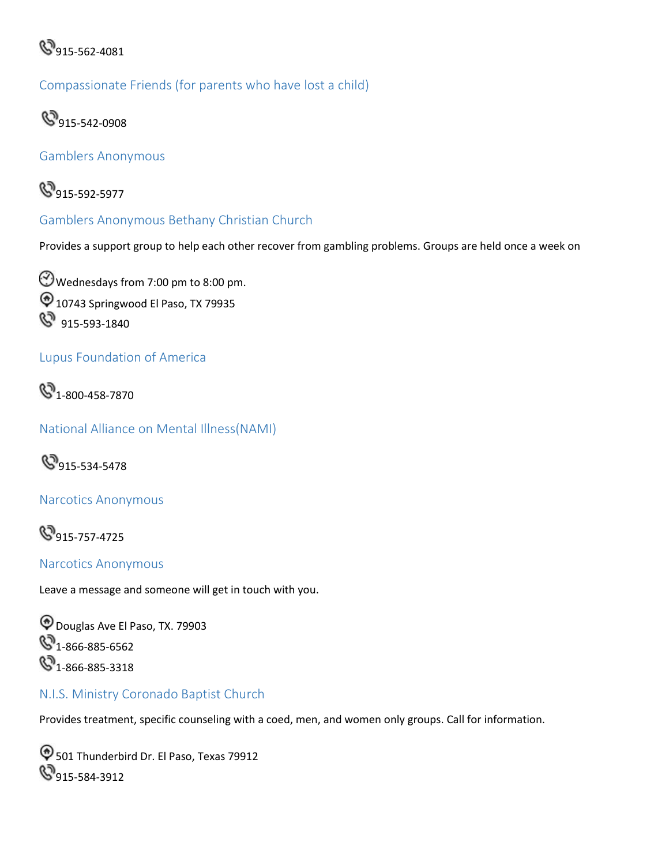

Compassionate Friends (for parents who have lost a child)



Gamblers Anonymous



<span id="page-60-0"></span>Gamblers Anonymous Bethany Christian Church

Provides a support group to help each other recover from gambling problems. Groups are held once a week on

Wednesdays from 7:00 pm to 8:00 pm.  $\textcircled{10743}$  Springwood El Paso, TX 79935 8 915-593-1840

#### Lupus Foundation of America



National Alliance on Mental Illness(NAMI)



Narcotics Anonymous

**915-757-4725** 

<span id="page-60-1"></span>Narcotics Anonymous

Leave a message and someone will get in touch with you.

Douglas Ave El Paso, TX. 79903 **4**1-866-885-6562  $\mathbb{Q}_{1-866-885-3318}$ 

#### <span id="page-60-2"></span>N.I.S. Ministry Coronado Baptist Church

Provides treatment, specific counseling with a coed, men, and women only groups. Call for information.

 $\bigcirc$  501 Thunderbird Dr. El Paso, Texas 79912 **S** 915-584-3912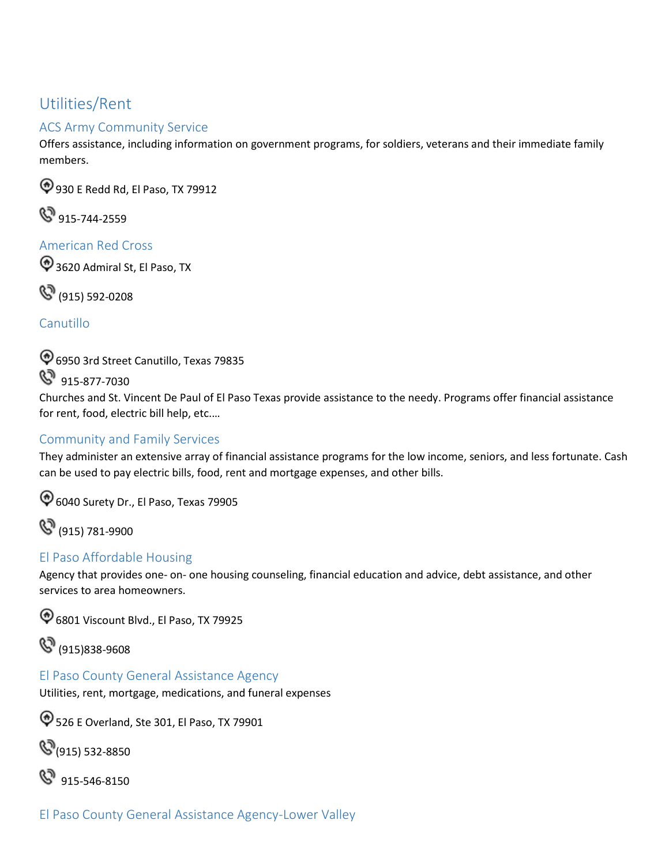## <span id="page-61-0"></span>Utilities/Rent

#### <span id="page-61-1"></span>ACS Army Community Service

Offers assistance, including information on government programs, for soldiers, veterans and their immediate family members.

930 E Redd Rd, El Paso, TX 79912

**&** 915-744-2559

<span id="page-61-2"></span>American Red Cross

<sup>2</sup>3620 Admiral St, El Paso, TX

(915) 592-0208

<span id="page-61-3"></span>Canutillo

6950 3rd Street Canutillo, Texas 79835

8 915-877-7030

 Churches and St. Vincent De Paul of El Paso Texas provide assistance to the needy. Programs offer financial assistance for rent, food, electric bill help, etc.…

### <span id="page-61-4"></span>Community and Family Services

They administer an extensive array of financial assistance programs for the low income, seniors, and less fortunate. Cash can be used to pay electric bills, food, rent and mortgage expenses, and other bills.

6040 Surety Dr., El Paso, Texas 79905

(915) 781-9900

#### <span id="page-61-5"></span>El Paso Affordable Housing

Agency that provides one- on- one housing counseling, financial education and advice, debt assistance, and other services to area homeowners.

6801 Viscount Blvd., El Paso, TX 79925

(915)838-9608

<span id="page-61-6"></span>El Paso County General Assistance Agency

Utilities, rent, mortgage, medications, and funeral expenses

526 E Overland, Ste 301, El Paso, TX 79901

**(915) 532-8850** 

8 915-546-8150

El Paso County General Assistance Agency-Lower Valley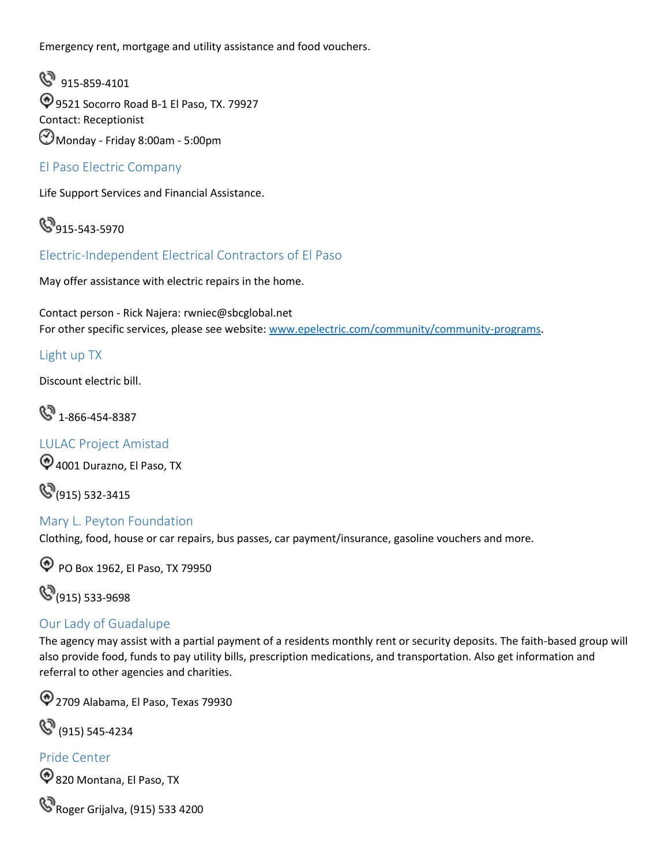Emergency rent, mortgage and utility assistance and food vouchers.

8 915-859-4101 9521 Socorro Road B-1 El Paso, TX. 79927 Contact: Receptionist Monday - Friday 8:00am - 5:00pm

<span id="page-62-0"></span>El Paso Electric Company

Life Support Services and Financial Assistance.

 $\mathbb{Q}_{915-543-5970}$ 

<span id="page-62-1"></span>Electric-Independent Electrical Contractors of El Paso

May offer assistance with electric repairs in the home.

For other specific services, please see website: [www.epelectric.com/community/community-programs.](http://www.epelectric.com/community/community-programs) Contact person - Rick Najera: [rwniec@sbcglobal.net](mailto:rwniec@sbcglobal.net) 

#### <span id="page-62-2"></span>Light up TX

Discount electric bill.

 $\mathbb{S}$  1-866-454-8387

<span id="page-62-3"></span>LULAC Project Amistad

 $\bigcirc$  4001 Durazno, El Paso, TX

**(S**(915) 532-3415

#### <span id="page-62-4"></span>Mary L. Peyton Foundation

Clothing, food, house or car repairs, bus passes, car payment/insurance, gasoline vouchers and more.

**PO Box 1962, El Paso, TX 79950** 

**(S**(915) 533-9698

#### <span id="page-62-5"></span>Our Lady of Guadalupe

The agency may assist with a partial payment of a residents monthly rent or security deposits. The faith-based group will also provide food, funds to pay utility bills, prescription medications, and transportation. Also get information and referral to other agencies and charities.

2709 Alabama, El Paso, Texas 79930

(915) 545-4234

#### <span id="page-62-6"></span>Pride Center

820 Montana, El Paso, TX

**&** Roger Grijalva, (915) 533 4200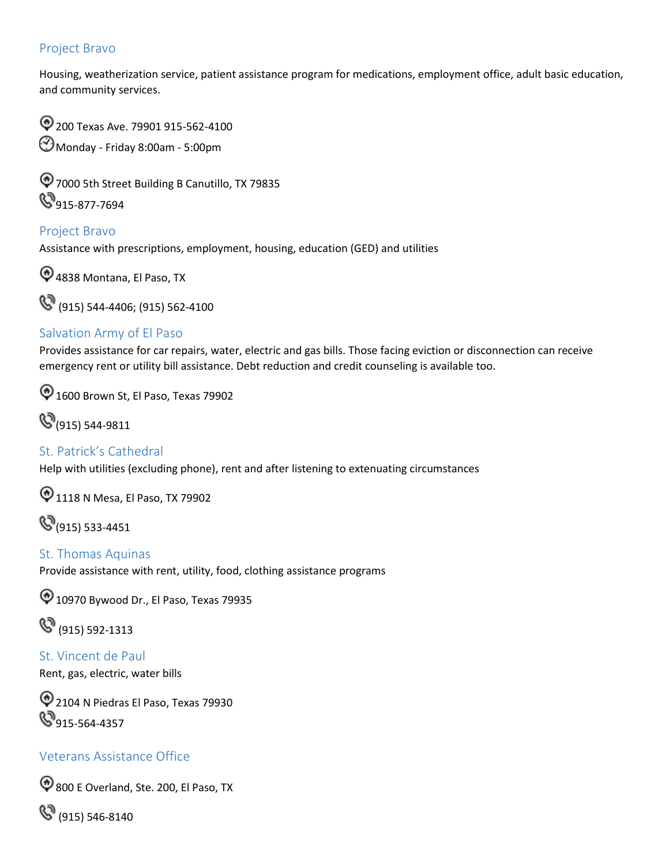#### <span id="page-63-0"></span>Project Bravo

Housing, weatherization service, patient assistance program for medications, employment office, adult basic education, and community services.

200 Texas Ave. 79901 915-562-4100 Monday - Friday 8:00am - 5:00pm

7000 5th Street Building B Canutillo, TX 79835 **915-877-7694** 

<span id="page-63-1"></span>Project Bravo Assistance with prescriptions, employment, housing, education (GED) and utilities

4838 Montana, El Paso, TX

(915) 544-4406; (915) 562-4100

#### <span id="page-63-2"></span>Salvation Army of El Paso

Provides assistance for car repairs, water, electric and gas bills. Those facing eviction or disconnection can receive emergency rent or utility bill assistance. Debt reduction and credit counseling is available too.

 $\textcircled{1600}$  Brown St, El Paso, Texas 79902

(915) 544-9811

<span id="page-63-3"></span>St. Patrick's Cathedral Help with utilities (excluding phone), rent and after listening to extenuating circumstances

 $\bigcirc$  1118 N Mesa, El Paso, TX 79902

**(915)** 533-4451

<span id="page-63-4"></span> St. Thomas Aquinas Provide assistance with rent, utility, food, clothing assistance programs

 $\textcircled{1}$  10970 Bywood Dr., El Paso, Texas 79935

(915) 592-1313

<span id="page-63-5"></span> St. Vincent de Paul Rent, gas, electric, water bills

2104 N Piedras El Paso, Texas 79930 **S** 915-564-4357

#### Veterans Assistance Office

800 E Overland, Ste. 200, El Paso, TX

(915) 546-8140